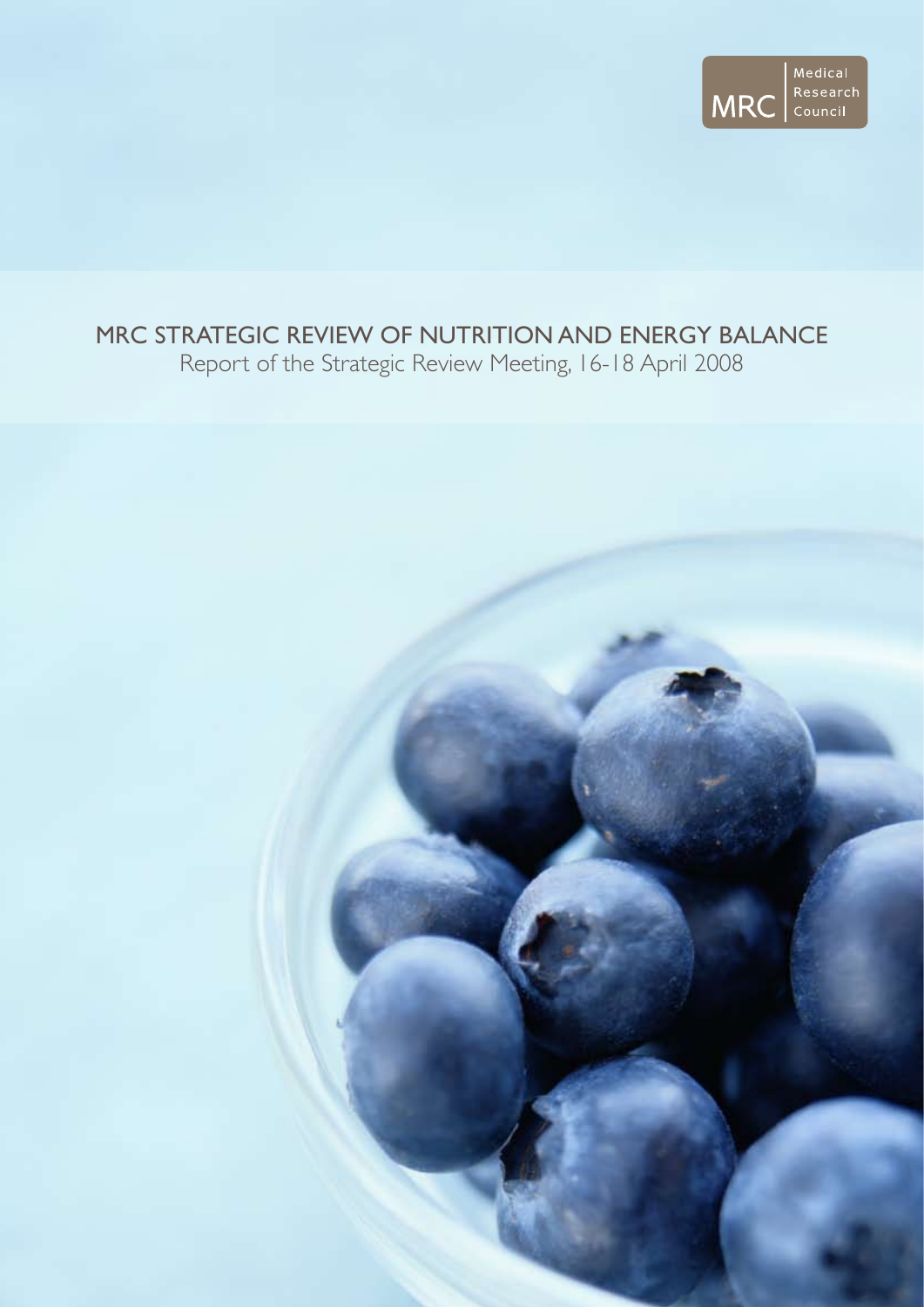

# MRC strategic review of nutrition and energy balance

Report of the Strategic Review Meeting, 16-18 April 2008

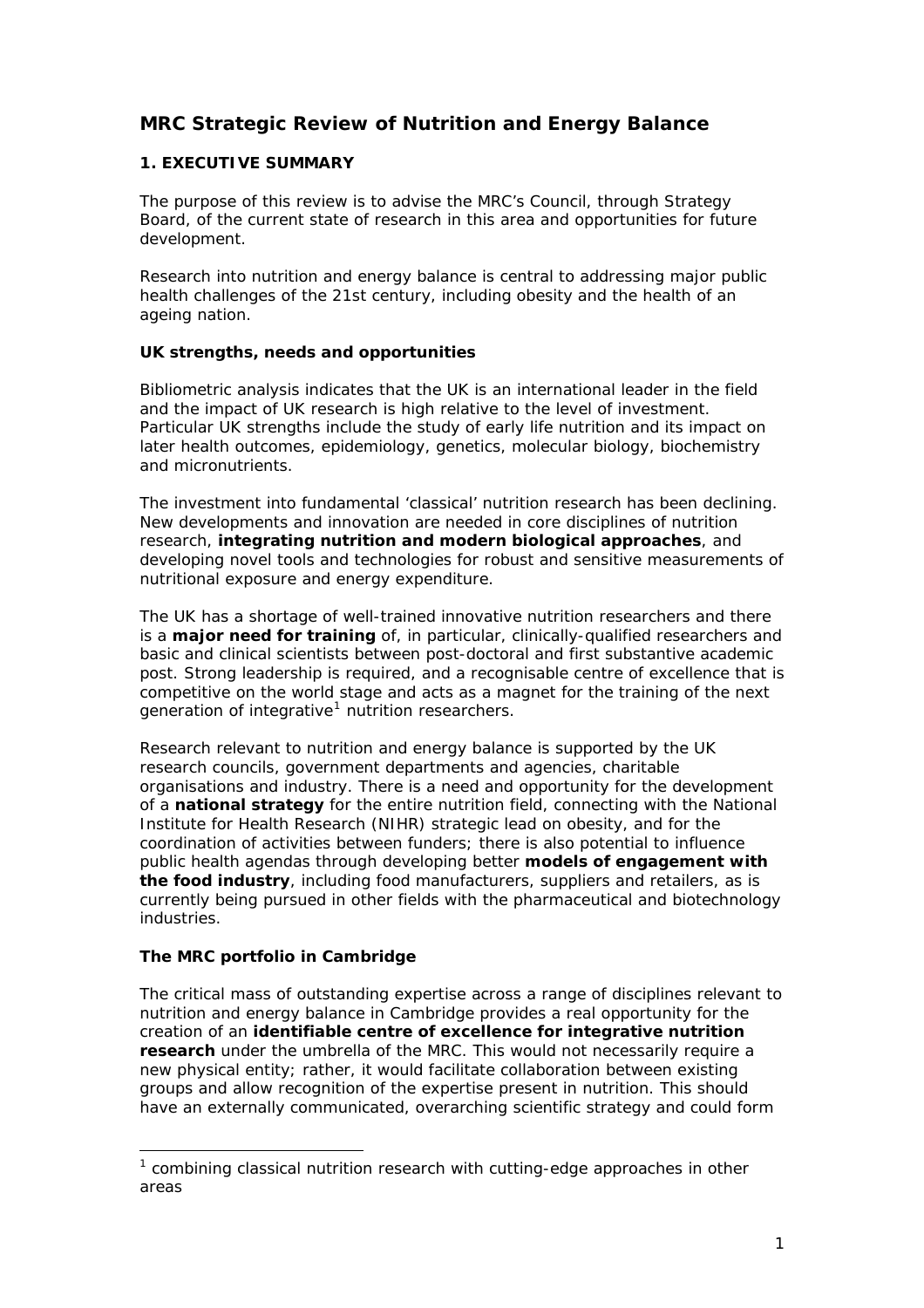# **MRC Strategic Review of Nutrition and Energy Balance**

# **1. EXECUTIVE SUMMARY**

The purpose of this review is to advise the MRC's Council, through Strategy Board, of the current state of research in this area and opportunities for future development.

Research into nutrition and energy balance is central to addressing major public health challenges of the 21st century, including obesity and the health of an ageing nation.

# **UK strengths, needs and opportunities**

Bibliometric analysis indicates that the UK is an international leader in the field and the impact of UK research is high relative to the level of investment. Particular UK strengths include the study of early life nutrition and its impact on later health outcomes, epidemiology, genetics, molecular biology, biochemistry and micronutrients.

The investment into fundamental 'classical' nutrition research has been declining. New developments and innovation are needed in core disciplines of nutrition research, **integrating nutrition and modern biological approaches**, and developing novel tools and technologies for robust and sensitive measurements of nutritional exposure and energy expenditure.

The UK has a shortage of well-trained innovative nutrition researchers and there is a **major need for training** of, in particular, clinically-qualified researchers and basic and clinical scientists between post-doctoral and first substantive academic post. Strong leadership is required, and a recognisable centre of excellence that is competitive on the world stage and acts as a magnet for the training of the next generation of integrative<sup>[1](#page-1-0)</sup> nutrition researchers.

Research relevant to nutrition and energy balance is supported by the UK research councils, government departments and agencies, charitable organisations and industry. There is a need and opportunity for the development of a **national strategy** for the entire nutrition field, connecting with the National Institute for Health Research (NIHR) strategic lead on obesity, and for the coordination of activities between funders; there is also potential to influence public health agendas through developing better **models of engagement with the food industry**, including food manufacturers, suppliers and retailers, as is currently being pursued in other fields with the pharmaceutical and biotechnology industries.

#### **The MRC portfolio in Cambridge**

The critical mass of outstanding expertise across a range of disciplines relevant to nutrition and energy balance in Cambridge provides a real opportunity for the creation of an **identifiable centre of excellence for integrative nutrition research** under the umbrella of the MRC. This would not necessarily require a new physical entity; rather, it would facilitate collaboration between existing groups and allow recognition of the expertise present in nutrition. This should have an externally communicated, overarching scientific strategy and could form

<span id="page-1-0"></span> $1$  combining classical nutrition research with cutting-edge approaches in other areas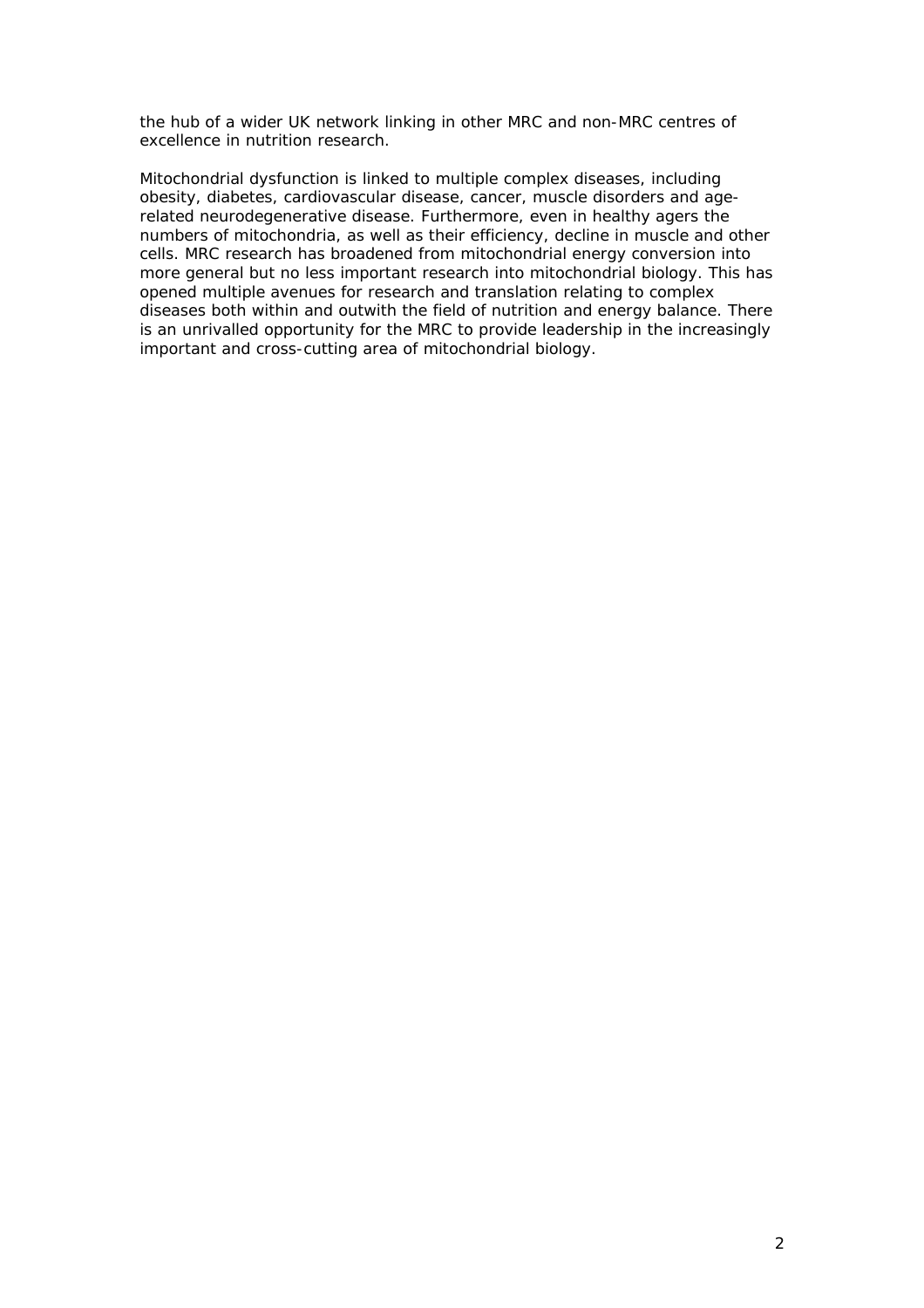the hub of a wider UK network linking in other MRC and non-MRC centres of excellence in nutrition research.

Mitochondrial dysfunction is linked to multiple complex diseases, including obesity, diabetes, cardiovascular disease, cancer, muscle disorders and agerelated neurodegenerative disease. Furthermore, even in healthy agers the numbers of mitochondria, as well as their efficiency, decline in muscle and other cells. MRC research has broadened from mitochondrial energy conversion into more general but no less important research into mitochondrial biology. This has opened multiple avenues for research and translation relating to complex diseases both within and outwith the field of nutrition and energy balance. There is an unrivalled opportunity for the MRC to provide leadership in the increasingly important and cross-cutting area of mitochondrial biology.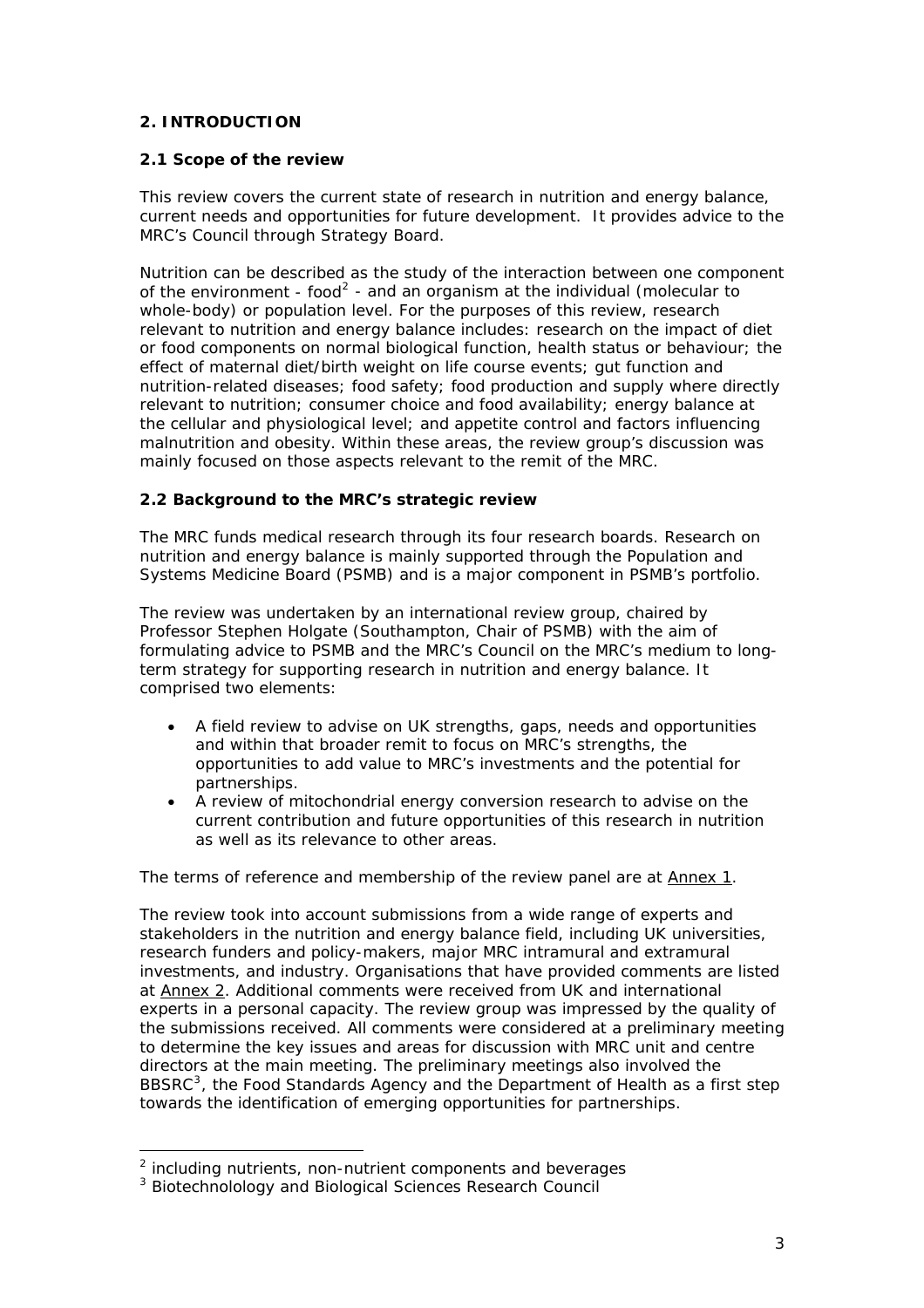# **2. INTRODUCTION**

## **2.1 Scope of the review**

This review covers the current state of research in nutrition and energy balance, current needs and opportunities for future development. It provides advice to the MRC's Council through Strategy Board.

Nutrition can be described as the study of the interaction between one component of the environment - food<sup>[2](#page-3-0)</sup> - and an organism at the individual (molecular to whole-body) or population level. For the purposes of this review, research relevant to nutrition and energy balance includes: research on the impact of diet or food components on normal biological function, health status or behaviour; the effect of maternal diet/birth weight on life course events; gut function and nutrition-related diseases; food safety; food production and supply where directly relevant to nutrition; consumer choice and food availability; energy balance at the cellular and physiological level; and appetite control and factors influencing malnutrition and obesity. Within these areas, the review group's discussion was mainly focused on those aspects relevant to the remit of the MRC.

# **2.2 Background to the MRC's strategic review**

The MRC funds medical research through its four research boards. Research on nutrition and energy balance is mainly supported through the Population and Systems Medicine Board (PSMB) and is a major component in PSMB's portfolio.

The review was undertaken by an international review group, chaired by Professor Stephen Holgate (Southampton, Chair of PSMB) with the aim of formulating advice to PSMB and the MRC's Council on the MRC's medium to longterm strategy for supporting research in nutrition and energy balance. It comprised two elements:

- A field review to advise on UK strengths, gaps, needs and opportunities and within that broader remit to focus on MRC's strengths, the opportunities to add value to MRC's investments and the potential for partnerships.
- A review of mitochondrial energy conversion research to advise on the current contribution and future opportunities of this research in nutrition as well as its relevance to other areas.

The terms of reference and membership of the review panel are at Annex 1.

The review took into account submissions from a wide range of experts and stakeholders in the nutrition and energy balance field, including UK universities, research funders and policy-makers, major MRC intramural and extramural investments, and industry. Organisations that have provided comments are listed at Annex 2. Additional comments were received from UK and international experts in a personal capacity. The review group was impressed by the quality of the submissions received. All comments were considered at a preliminary meeting to determine the key issues and areas for discussion with MRC unit and centre directors at the main meeting. The preliminary meetings also involved the BBSRC<sup>[3](#page-3-1)</sup>, the Food Standards Agency and the Department of Health as a first step towards the identification of emerging opportunities for partnerships.

<span id="page-3-0"></span> $2$  including nutrients, non-nutrient components and beverages

<span id="page-3-1"></span><sup>&</sup>lt;sup>3</sup> Biotechnolology and Biological Sciences Research Council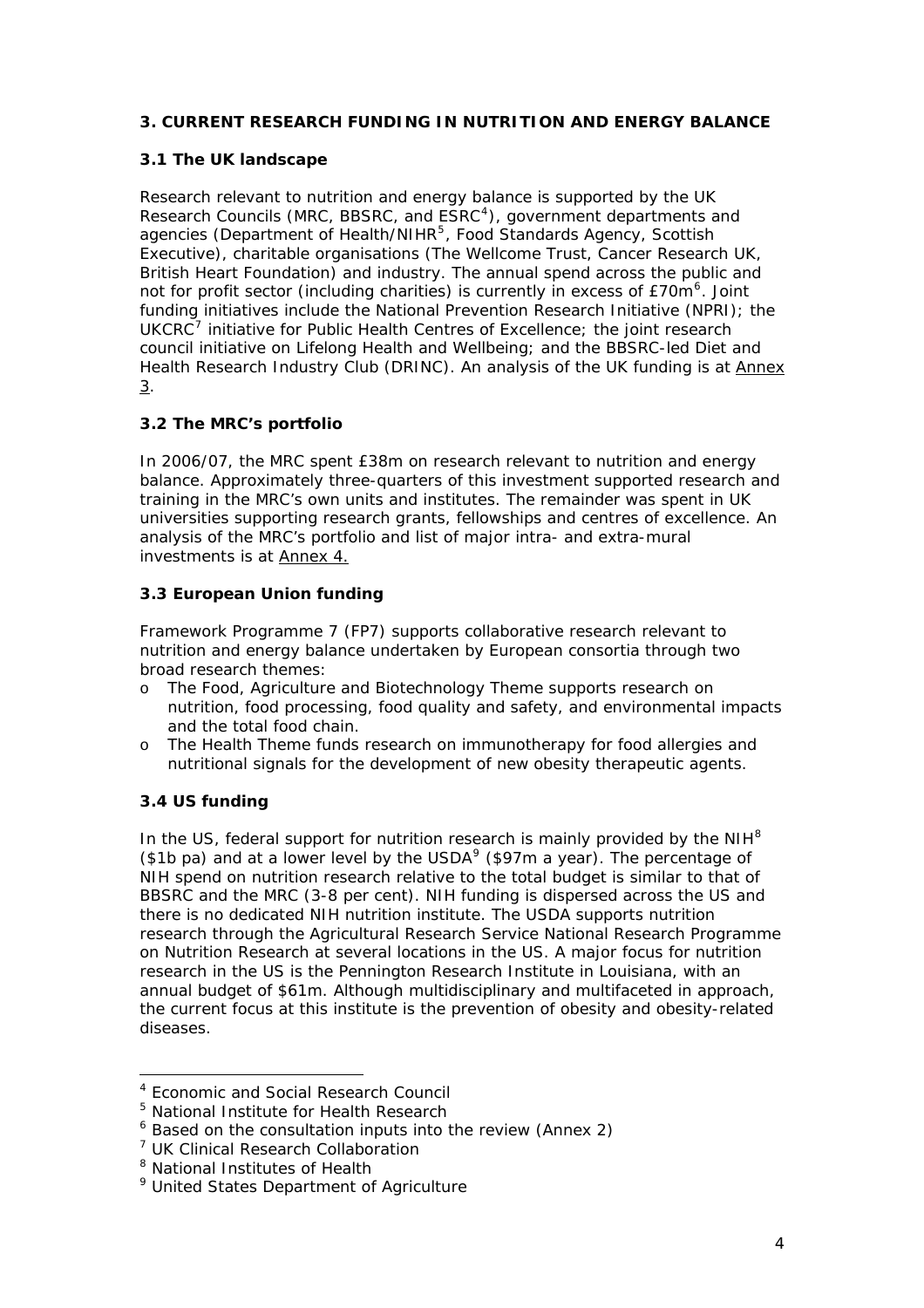# **3. CURRENT RESEARCH FUNDING IN NUTRITION AND ENERGY BALANCE**

#### **3.1 The UK landscape**

Research relevant to nutrition and energy balance is supported by the UK Research Councils (MRC, BBSRC, and ESRC<sup>[4](#page-4-0)</sup>), government departments and agencies (Department of Health/NIHR<sup>[5](#page-4-1)</sup>, Food Standards Agency, Scottish Executive), charitable organisations (The Wellcome Trust, Cancer Research UK, British Heart Foundation) and industry. The annual spend across the public and not for profit sector (including charities) is currently in excess of  $E70m<sup>6</sup>$  $E70m<sup>6</sup>$  $E70m<sup>6</sup>$ . Joint funding initiatives include the National Prevention Research Initiative (NPRI); the  $UKC<sup>7</sup>$  $UKC<sup>7</sup>$  $UKC<sup>7</sup>$  initiative for Public Health Centres of Excellence; the joint research council initiative on Lifelong Health and Wellbeing; and the BBSRC-led Diet and Health Research Industry Club (DRINC). An analysis of the UK funding is at Annex 3.

# **3.2 The MRC's portfolio**

In 2006/07, the MRC spent £38m on research relevant to nutrition and energy balance. Approximately three-quarters of this investment supported research and training in the MRC's own units and institutes. The remainder was spent in UK universities supporting research grants, fellowships and centres of excellence. An analysis of the MRC's portfolio and list of major intra- and extra-mural investments is at Annex 4.

## **3.3 European Union funding**

Framework Programme 7 (FP7) supports collaborative research relevant to nutrition and energy balance undertaken by European consortia through two broad research themes:

- o The Food, Agriculture and Biotechnology Theme supports research on nutrition, food processing, food quality and safety, and environmental impacts and the total food chain.
- o The Health Theme funds research on immunotherapy for food allergies and nutritional signals for the development of new obesity therapeutic agents.

# **3.4 US funding**

1

In the US, federal support for nutrition research is mainly provided by the  $NH<sup>8</sup>$  $NH<sup>8</sup>$  $NH<sup>8</sup>$ (\$1b pa) and at a lower level by the USDA $9$  (\$97m a year). The percentage of NIH spend on nutrition research relative to the total budget is similar to that of BBSRC and the MRC (3-8 per cent). NIH funding is dispersed across the US and there is no dedicated NIH nutrition institute. The USDA supports nutrition research through the Agricultural Research Service National Research Programme on Nutrition Research at several locations in the US. A major focus for nutrition research in the US is the Pennington Research Institute in Louisiana, with an annual budget of \$61m. Although multidisciplinary and multifaceted in approach, the current focus at this institute is the prevention of obesity and obesity-related diseases.

<sup>4</sup> Economic and Social Research Council

<span id="page-4-1"></span><span id="page-4-0"></span><sup>&</sup>lt;sup>5</sup> National Institute for Health Research

<span id="page-4-2"></span><sup>&</sup>lt;sup>6</sup> Based on the consultation inputs into the review (Annex 2)

<span id="page-4-3"></span><sup>&</sup>lt;sup>7</sup> UK Clinical Research Collaboration

<span id="page-4-4"></span><sup>&</sup>lt;sup>8</sup> National Institutes of Health

<span id="page-4-5"></span><sup>&</sup>lt;sup>9</sup> United States Department of Agriculture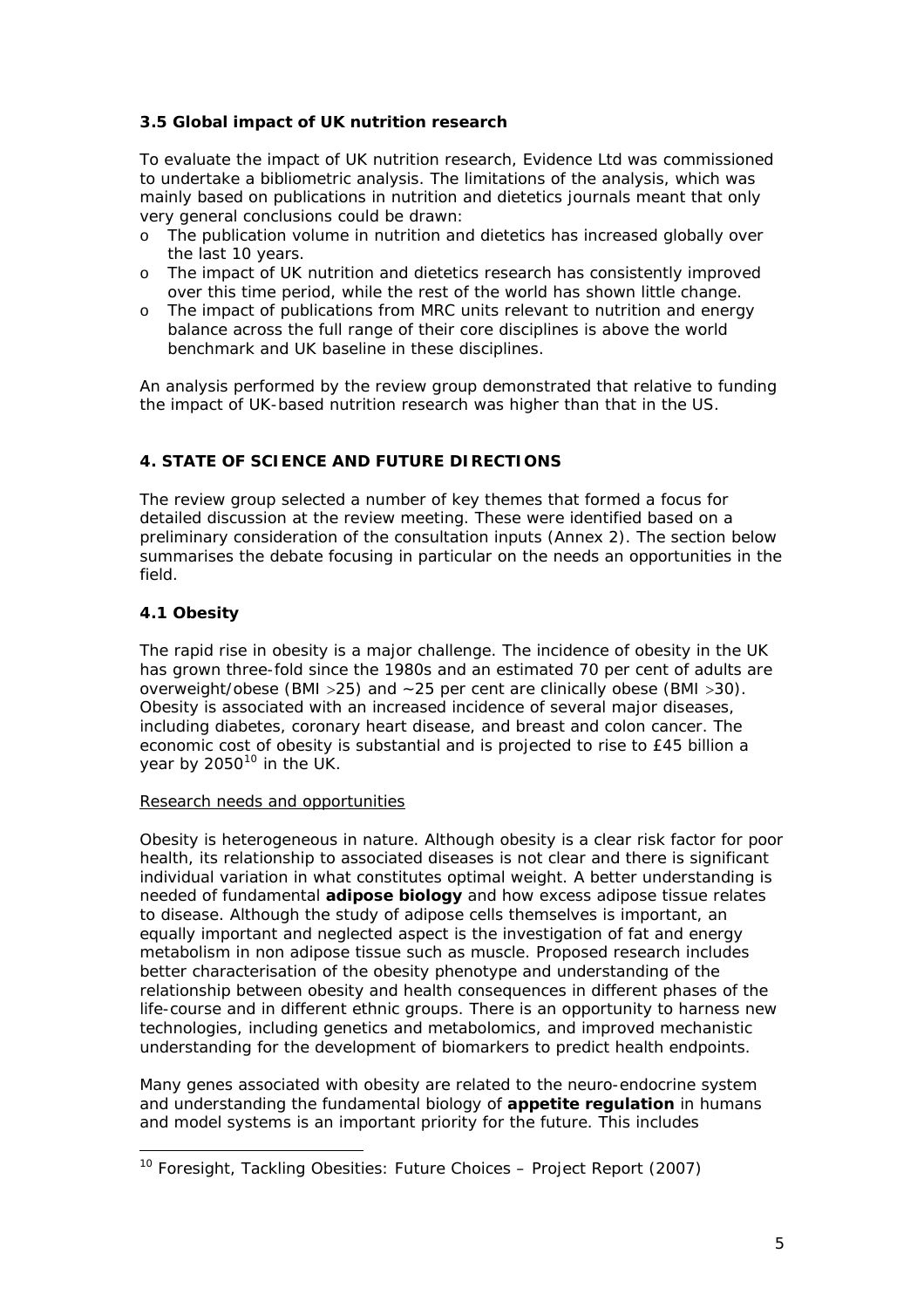# **3.5 Global impact of UK nutrition research**

To evaluate the impact of UK nutrition research, Evidence Ltd was commissioned to undertake a bibliometric analysis. The limitations of the analysis, which was mainly based on publications in nutrition and dietetics journals meant that only very general conclusions could be drawn:

- o The publication volume in nutrition and dietetics has increased globally over the last 10 years.
- o The impact of UK nutrition and dietetics research has consistently improved over this time period, while the rest of the world has shown little change.
- o The impact of publications from MRC units relevant to nutrition and energy balance across the full range of their core disciplines is above the world benchmark and UK baseline in these disciplines.

An analysis performed by the review group demonstrated that relative to funding the impact of UK-based nutrition research was higher than that in the US.

# **4. STATE OF SCIENCE AND FUTURE DIRECTIONS**

The review group selected a number of key themes that formed a focus for detailed discussion at the review meeting. These were identified based on a preliminary consideration of the consultation inputs (Annex 2). The section below summarises the debate focusing in particular on the needs an opportunities in the field.

# **4.1 Obesity**

The rapid rise in obesity is a major challenge. The incidence of obesity in the UK has grown three-fold since the 1980s and an estimated 70 per cent of adults are overweight/obese (BMI >25) and ~25 per cent are clinically obese (BMI >30). Obesity is associated with an increased incidence of several major diseases, including diabetes, coronary heart disease, and breast and colon cancer. The economic cost of obesity is substantial and is projected to rise to £45 billion a year by  $2050^{10}$  $2050^{10}$  $2050^{10}$  in the UK.

#### Research needs and opportunities

Obesity is heterogeneous in nature. Although obesity is a clear risk factor for poor health, its relationship to associated diseases is not clear and there is significant individual variation in what constitutes optimal weight. A better understanding is needed of fundamental **adipose biology** and how excess adipose tissue relates to disease. Although the study of adipose cells themselves is important, an equally important and neglected aspect is the investigation of fat and energy metabolism in non adipose tissue such as muscle. Proposed research includes better characterisation of the obesity phenotype and understanding of the relationship between obesity and health consequences in different phases of the life-course and in different ethnic groups. There is an opportunity to harness new technologies, including genetics and metabolomics, and improved mechanistic understanding for the development of biomarkers to predict health endpoints.

Many genes associated with obesity are related to the neuro-endocrine system and understanding the fundamental biology of **appetite regulation** in humans and model systems is an important priority for the future. This includes

<span id="page-5-0"></span><sup>&</sup>lt;sup>10</sup> Foresight, Tackling Obesities: Future Choices - Project Report (2007)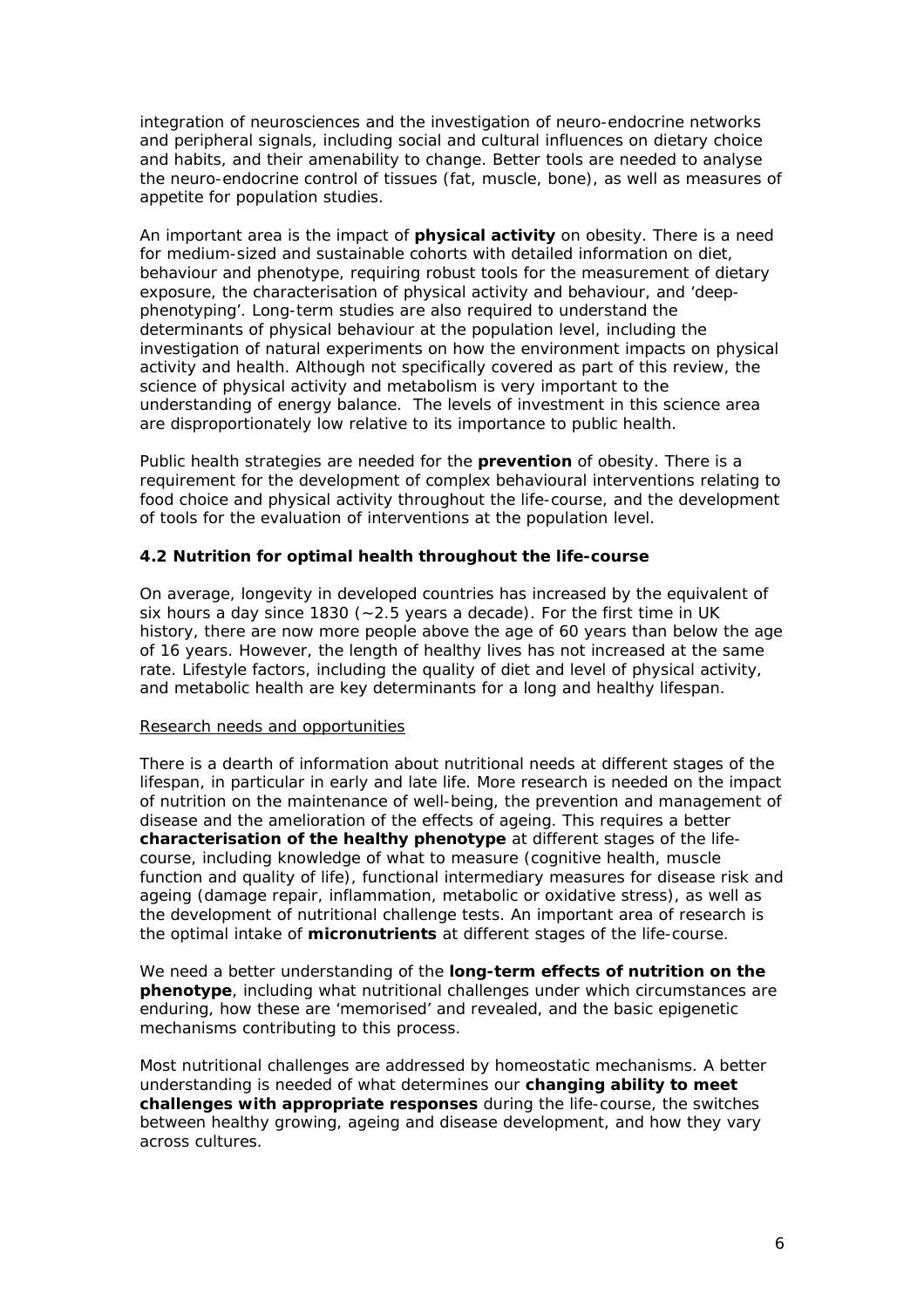integration of neurosciences and the investigation of neuro-endocrine networks and peripheral signals, including social and cultural influences on dietary choice and habits, and their amenability to change. Better tools are needed to analyse the neuro-endocrine control of tissues (fat, muscle, bone), as well as measures of appetite for population studies.

An important area is the impact of **physical activity** on obesity. There is a need for medium-sized and sustainable cohorts with detailed information on diet, behaviour and phenotype, requiring robust tools for the measurement of dietary exposure, the characterisation of physical activity and behaviour, and 'deepphenotyping'. Long-term studies are also required to understand the determinants of physical behaviour at the population level, including the investigation of natural experiments on how the environment impacts on physical activity and health. Although not specifically covered as part of this review, the science of physical activity and metabolism is very important to the understanding of energy balance. The levels of investment in this science area are disproportionately low relative to its importance to public health.

Public health strategies are needed for the **prevention** of obesity. There is a requirement for the development of complex behavioural interventions relating to food choice and physical activity throughout the life-course, and the development of tools for the evaluation of interventions at the population level.

## **4.2 Nutrition for optimal health throughout the life-course**

On average, longevity in developed countries has increased by the equivalent of six hours a day since 1830 (~2.5 years a decade). For the first time in UK history, there are now more people above the age of 60 years than below the age of 16 years. However, the length of healthy lives has not increased at the same rate. Lifestyle factors, including the quality of diet and level of physical activity, and metabolic health are key determinants for a long and healthy lifespan.

#### Research needs and opportunities

There is a dearth of information about nutritional needs at different stages of the lifespan, in particular in early and late life. More research is needed on the impact of nutrition on the maintenance of well-being, the prevention and management of disease and the amelioration of the effects of ageing. This requires a better **characterisation of the healthy phenotype** at different stages of the lifecourse, including knowledge of what to measure (cognitive health, muscle function and quality of life), functional intermediary measures for disease risk and ageing (damage repair, inflammation, metabolic or oxidative stress), as well as the development of nutritional challenge tests. An important area of research is the optimal intake of **micronutrients** at different stages of the life-course.

We need a better understanding of the **long-term effects of nutrition on the phenotype**, including what nutritional challenges under which circumstances are enduring, how these are 'memorised' and revealed, and the basic epigenetic mechanisms contributing to this process.

Most nutritional challenges are addressed by homeostatic mechanisms. A better understanding is needed of what determines our **changing ability to meet challenges with appropriate responses** during the life-course, the switches between healthy growing, ageing and disease development, and how they vary across cultures.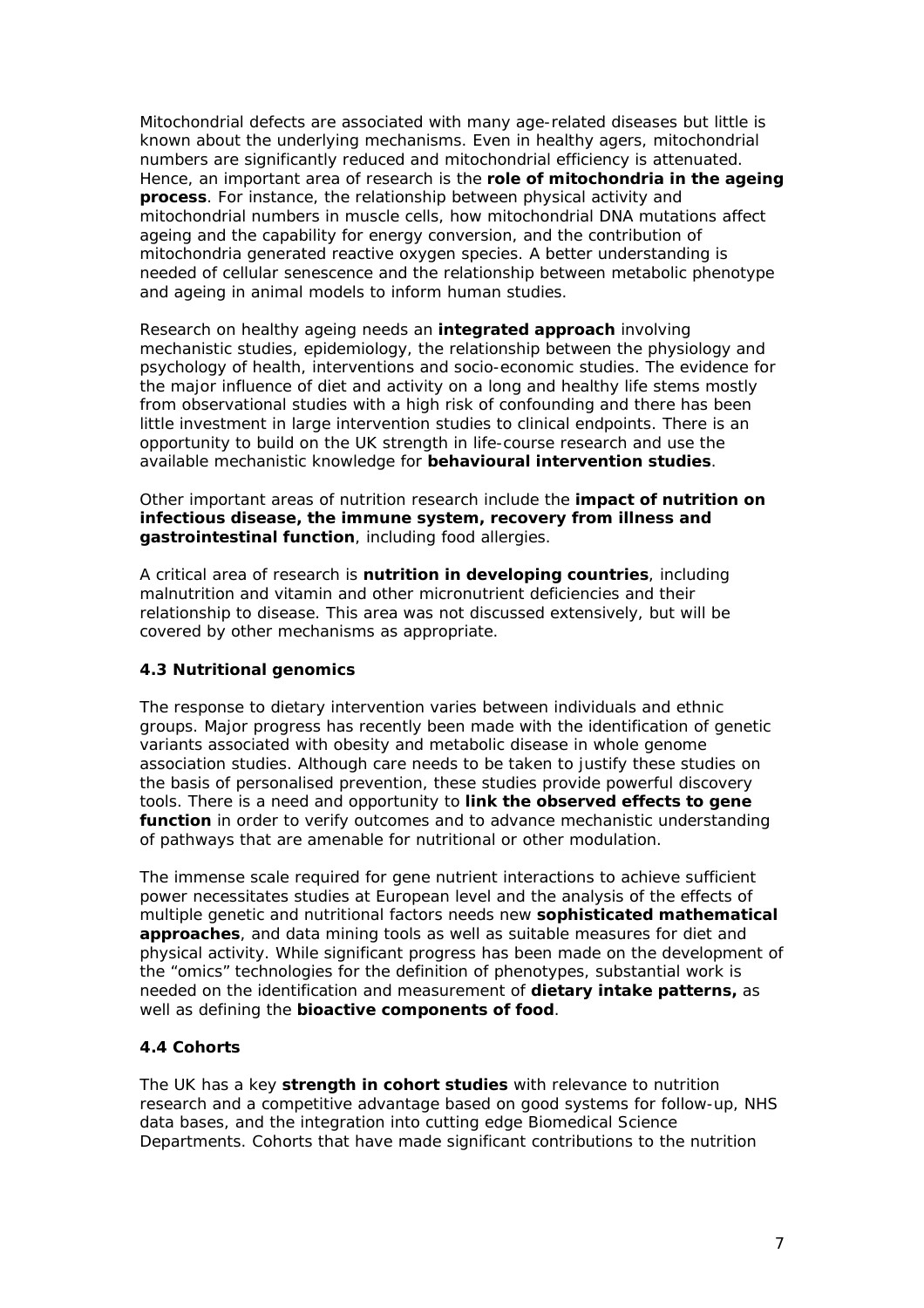Mitochondrial defects are associated with many age-related diseases but little is known about the underlying mechanisms. Even in healthy agers, mitochondrial numbers are significantly reduced and mitochondrial efficiency is attenuated. Hence, an important area of research is the **role of mitochondria in the ageing process**. For instance, the relationship between physical activity and mitochondrial numbers in muscle cells, how mitochondrial DNA mutations affect ageing and the capability for energy conversion, and the contribution of mitochondria generated reactive oxygen species. A better understanding is needed of cellular senescence and the relationship between metabolic phenotype and ageing in animal models to inform human studies*.*

Research on healthy ageing needs an **integrated approach** involving mechanistic studies, epidemiology, the relationship between the physiology and psychology of health, interventions and socio-economic studies. The evidence for the major influence of diet and activity on a long and healthy life stems mostly from observational studies with a high risk of confounding and there has been little investment in large intervention studies to clinical endpoints. There is an opportunity to build on the UK strength in life-course research and use the available mechanistic knowledge for **behavioural intervention studies**.

Other important areas of nutrition research include the **impact of nutrition on infectious disease, the immune system, recovery from illness and gastrointestinal function**, including food allergies.

A critical area of research is **nutrition in developing countries**, including malnutrition and vitamin and other micronutrient deficiencies and their relationship to disease. This area was not discussed extensively, but will be covered by other mechanisms as appropriate.

#### **4.3 Nutritional genomics**

The response to dietary intervention varies between individuals and ethnic groups. Major progress has recently been made with the identification of genetic variants associated with obesity and metabolic disease in whole genome association studies. Although care needs to be taken to justify these studies on the basis of personalised prevention, these studies provide powerful discovery tools. There is a need and opportunity to **link the observed effects to gene function** in order to verify outcomes and to advance mechanistic understanding of pathways that are amenable for nutritional or other modulation.

The immense scale required for gene nutrient interactions to achieve sufficient power necessitates studies at European level and the analysis of the effects of multiple genetic and nutritional factors needs new **sophisticated mathematical approaches**, and data mining tools as well as suitable measures for diet and physical activity. While significant progress has been made on the development of the "omics" technologies for the definition of phenotypes, substantial work is needed on the identification and measurement of **dietary intake patterns,** as well as defining the **bioactive components of food**.

# **4.4 Cohorts**

The UK has a key **strength in cohort studies** with relevance to nutrition research and a competitive advantage based on good systems for follow-up, NHS data bases, and the integration into cutting edge Biomedical Science Departments. Cohorts that have made significant contributions to the nutrition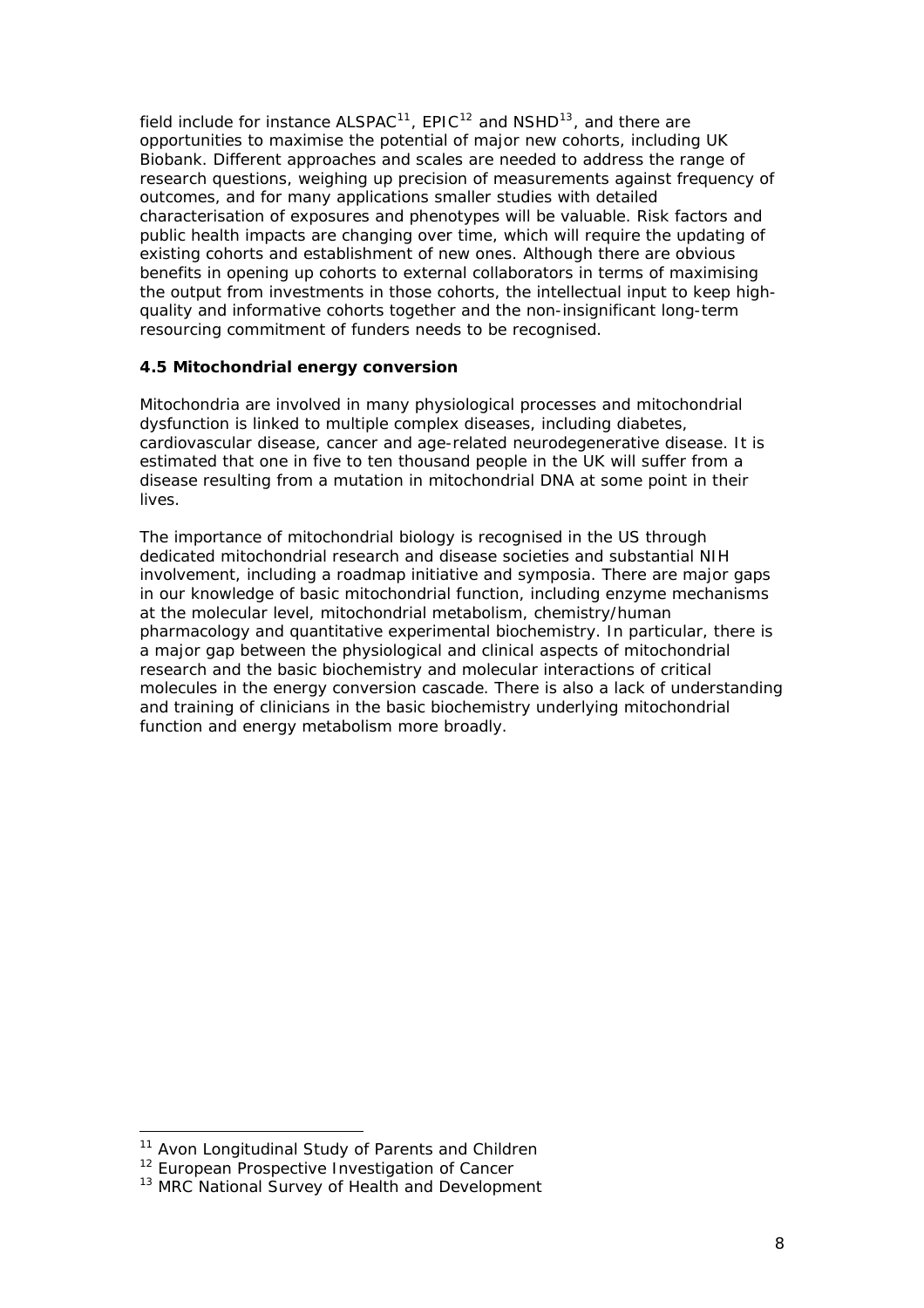field include for instance  $ALSPACE^{11}$  $ALSPACE^{11}$  $ALSPACE^{11}$ ,  $EPIC^{12}$  $EPIC^{12}$  $EPIC^{12}$  and  $NSHD^{13}$  $NSHD^{13}$  $NSHD^{13}$ , and there are opportunities to maximise the potential of major new cohorts, including UK Biobank. Different approaches and scales are needed to address the range of research questions, weighing up precision of measurements against frequency of outcomes, and for many applications smaller studies with detailed characterisation of exposures and phenotypes will be valuable. Risk factors and public health impacts are changing over time, which will require the updating of existing cohorts and establishment of new ones. Although there are obvious benefits in opening up cohorts to external collaborators in terms of maximising the output from investments in those cohorts, the intellectual input to keep highquality and informative cohorts together and the non-insignificant long-term resourcing commitment of funders needs to be recognised.

## **4.5 Mitochondrial energy conversion**

Mitochondria are involved in many physiological processes and mitochondrial dysfunction is linked to multiple complex diseases, including diabetes, cardiovascular disease, cancer and age-related neurodegenerative disease. It is estimated that one in five to ten thousand people in the UK will suffer from a disease resulting from a mutation in mitochondrial DNA at some point in their lives.

The importance of mitochondrial biology is recognised in the US through dedicated mitochondrial research and disease societies and substantial NIH involvement, including a roadmap initiative and symposia. There are major gaps in our knowledge of basic mitochondrial function, including enzyme mechanisms at the molecular level, mitochondrial metabolism, chemistry/human pharmacology and quantitative experimental biochemistry. In particular, there is a major gap between the physiological and clinical aspects of mitochondrial research and the basic biochemistry and molecular interactions of critical molecules in the energy conversion cascade. There is also a lack of understanding and training of clinicians in the basic biochemistry underlying mitochondrial function and energy metabolism more broadly.

1

<span id="page-8-0"></span><sup>&</sup>lt;sup>11</sup> Avon Longitudinal Study of Parents and Children

<span id="page-8-1"></span><sup>&</sup>lt;sup>12</sup> European Prospective Investigation of Cancer

<span id="page-8-2"></span><sup>&</sup>lt;sup>13</sup> MRC National Survey of Health and Development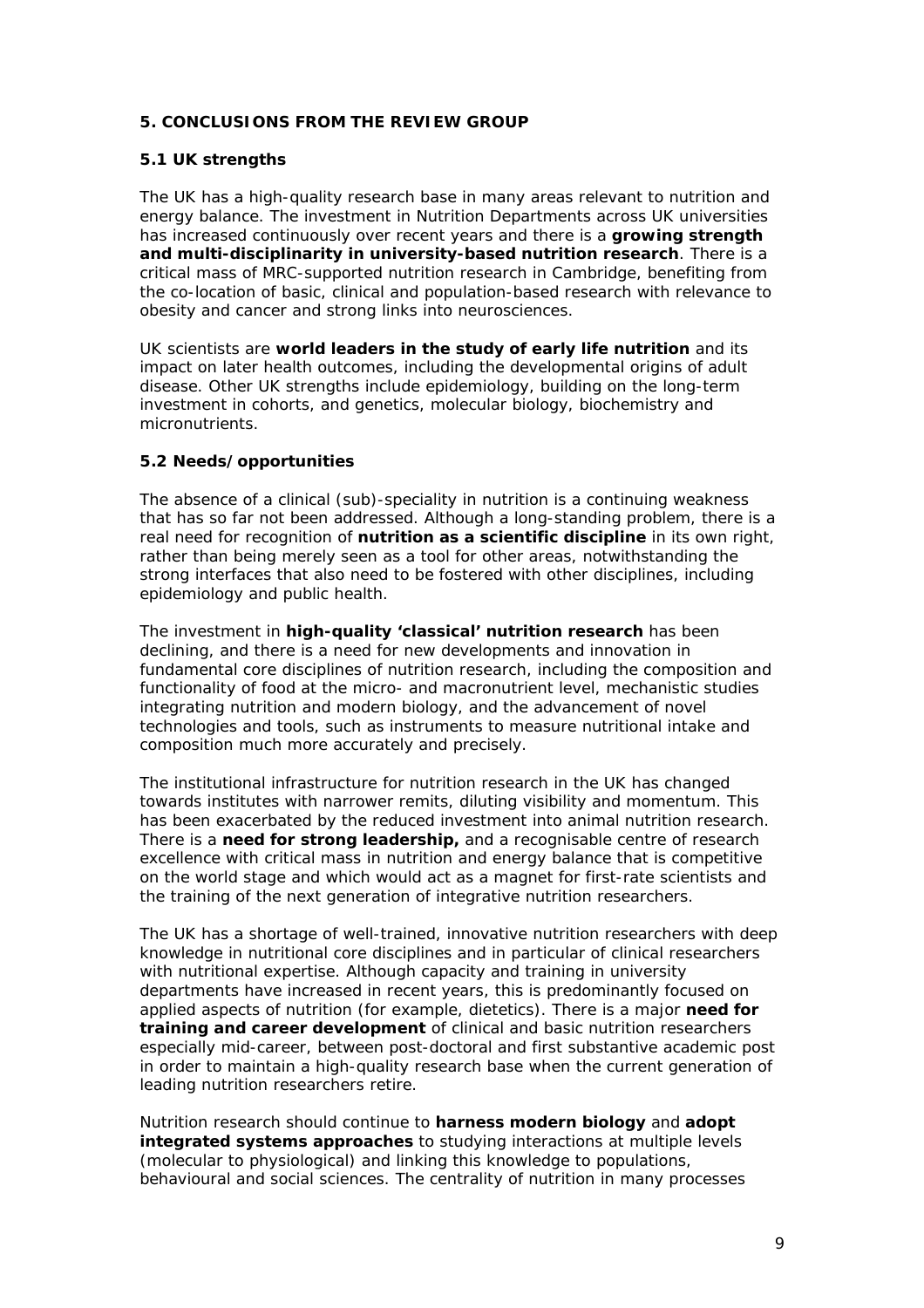## **5. CONCLUSIONS FROM THE REVIEW GROUP**

#### **5.1 UK strengths**

The UK has a high-quality research base in many areas relevant to nutrition and energy balance. The investment in Nutrition Departments across UK universities has increased continuously over recent years and there is a **growing strength and multi-disciplinarity in university-based nutrition research**. There is a critical mass of MRC-supported nutrition research in Cambridge, benefiting from the co-location of basic, clinical and population-based research with relevance to obesity and cancer and strong links into neurosciences.

UK scientists are **world leaders in the study of early life nutrition** and its impact on later health outcomes, including the developmental origins of adult disease. Other UK strengths include epidemiology, building on the long-term investment in cohorts, and genetics, molecular biology, biochemistry and micronutrients.

## **5.2 Needs/opportunities**

The absence of a clinical (sub)-speciality in nutrition is a continuing weakness that has so far not been addressed. Although a long-standing problem, there is a real need for recognition of **nutrition as a scientific discipline** in its own right, rather than being merely seen as a tool for other areas, notwithstanding the strong interfaces that also need to be fostered with other disciplines, including epidemiology and public health.

The investment in **high-quality 'classical' nutrition research** has been declining, and there is a need for new developments and innovation in fundamental core disciplines of nutrition research, including the composition and functionality of food at the micro- and macronutrient level, mechanistic studies integrating nutrition and modern biology, and the advancement of novel technologies and tools, such as instruments to measure nutritional intake and composition much more accurately and precisely.

The institutional infrastructure for nutrition research in the UK has changed towards institutes with narrower remits, diluting visibility and momentum. This has been exacerbated by the reduced investment into animal nutrition research. There is a **need for strong leadership,** and a recognisable centre of research excellence with critical mass in nutrition and energy balance that is competitive on the world stage and which would act as a magnet for first-rate scientists and the training of the next generation of integrative nutrition researchers.

The UK has a shortage of well-trained, innovative nutrition researchers with deep knowledge in nutritional core disciplines and in particular of clinical researchers with nutritional expertise. Although capacity and training in university departments have increased in recent years, this is predominantly focused on applied aspects of nutrition (for example, dietetics). There is a major **need for training and career development** of clinical and basic nutrition researchers especially mid-career, between post-doctoral and first substantive academic post in order to maintain a high-quality research base when the current generation of leading nutrition researchers retire.

Nutrition research should continue to **harness modern biology** and **adopt integrated systems approaches** to studying interactions at multiple levels (molecular to physiological) and linking this knowledge to populations, behavioural and social sciences. The centrality of nutrition in many processes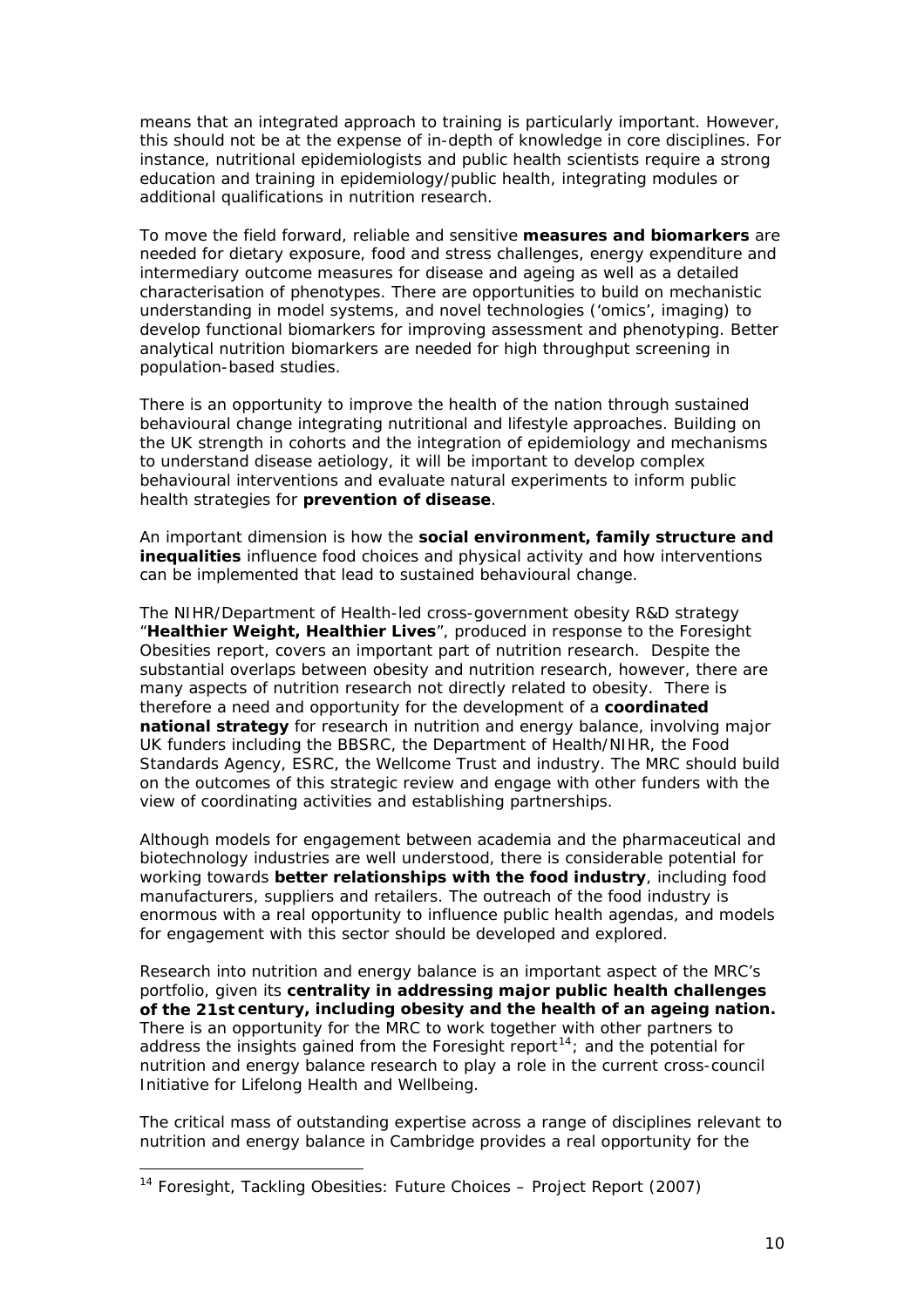means that an integrated approach to training is particularly important. However, this should not be at the expense of in-depth of knowledge in core disciplines. For instance, nutritional epidemiologists and public health scientists require a strong education and training in epidemiology/public health, integrating modules or additional qualifications in nutrition research.

To move the field forward, reliable and sensitive **measures and biomarkers** are needed for dietary exposure, food and stress challenges, energy expenditure and intermediary outcome measures for disease and ageing as well as a detailed characterisation of phenotypes. There are opportunities to build on mechanistic understanding in model systems, and novel technologies ('omics', imaging) to develop functional biomarkers for improving assessment and phenotyping. Better analytical nutrition biomarkers are needed for high throughput screening in population-based studies.

There is an opportunity to improve the health of the nation through sustained behavioural change integrating nutritional and lifestyle approaches. Building on the UK strength in cohorts and the integration of epidemiology and mechanisms to understand disease aetiology, it will be important to develop complex behavioural interventions and evaluate natural experiments to inform public health strategies for **prevention of disease**.

An important dimension is how the **social environment, family structure and inequalities** influence food choices and physical activity and how interventions can be implemented that lead to sustained behavioural change.

The NIHR/Department of Health-led cross-government obesity R&D strategy "**Healthier Weight, Healthier Lives**", produced in response to the Foresight Obesities report, covers an important part of nutrition research. Despite the substantial overlaps between obesity and nutrition research, however, there are many aspects of nutrition research not directly related to obesity. There is therefore a need and opportunity for the development of a **coordinated national strategy** for research in nutrition and energy balance, involving major UK funders including the BBSRC, the Department of Health/NIHR, the Food Standards Agency, ESRC, the Wellcome Trust and industry. The MRC should build on the outcomes of this strategic review and engage with other funders with the view of coordinating activities and establishing partnerships.

Although models for engagement between academia and the pharmaceutical and biotechnology industries are well understood, there is considerable potential for working towards **better relationships with the food industry**, including food manufacturers, suppliers and retailers. The outreach of the food industry is enormous with a real opportunity to influence public health agendas, and models for engagement with this sector should be developed and explored.

Research into nutrition and energy balance is an important aspect of the MRC's portfolio, given its **centrality in addressing major public health challenges of the 21st century, including obesity and the health of an ageing nation.** There is an opportunity for the MRC to work together with other partners to address the insights gained from the Foresight report<sup>[14](#page-10-0)</sup>; and the potential for nutrition and energy balance research to play a role in the current cross-council Initiative for Lifelong Health and Wellbeing.

The critical mass of outstanding expertise across a range of disciplines relevant to nutrition and energy balance in Cambridge provides a real opportunity for the

1

<span id="page-10-0"></span><sup>&</sup>lt;sup>14</sup> Foresight, Tackling Obesities: Future Choices – Project Report (2007)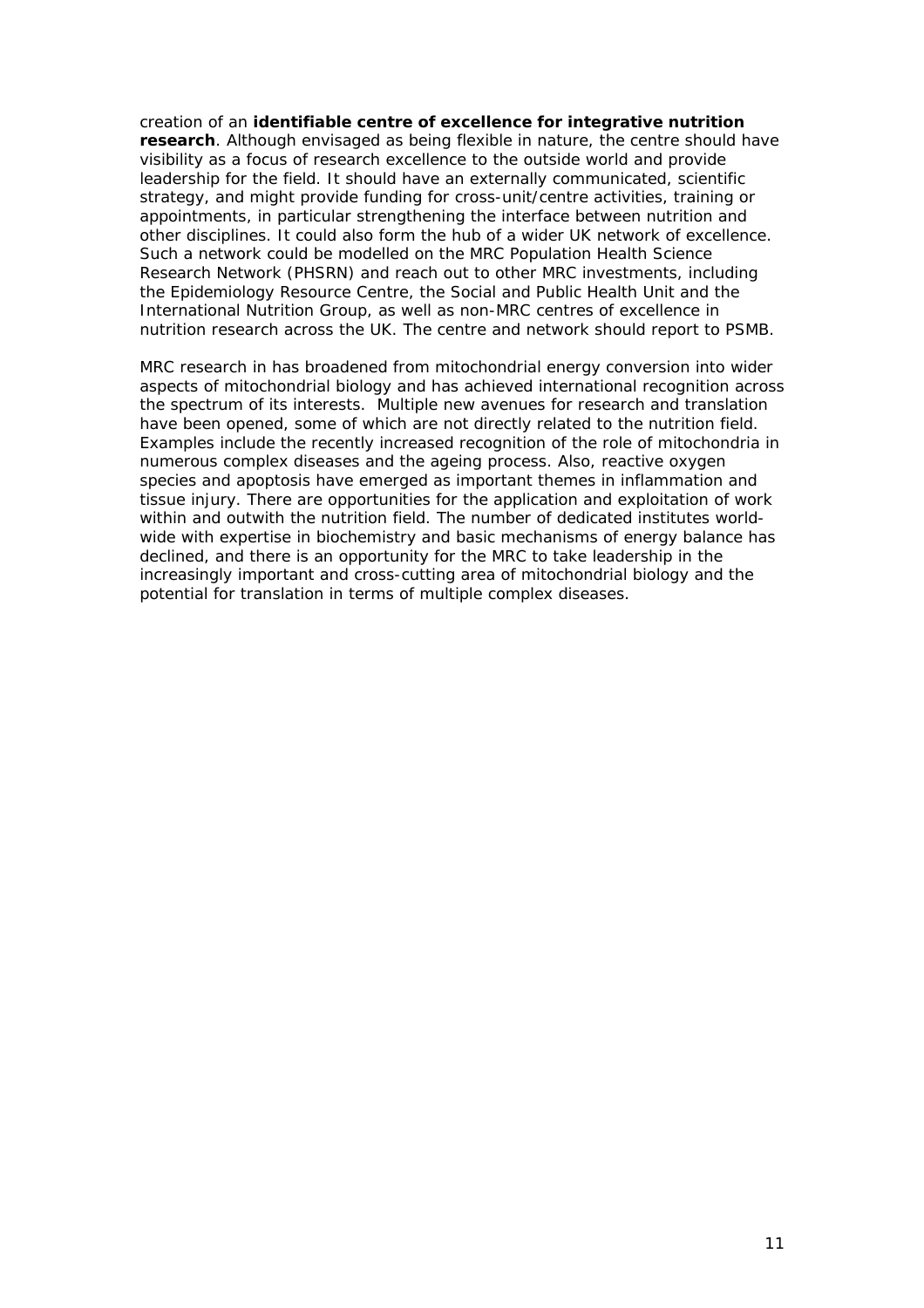creation of an **identifiable centre of excellence for integrative nutrition research**. Although envisaged as being flexible in nature, the centre should have visibility as a focus of research excellence to the outside world and provide leadership for the field. It should have an externally communicated, scientific strategy, and might provide funding for cross-unit/centre activities, training or appointments, in particular strengthening the interface between nutrition and other disciplines. It could also form the hub of a wider UK network of excellence. Such a network could be modelled on the MRC Population Health Science Research Network (PHSRN) and reach out to other MRC investments, including the Epidemiology Resource Centre, the Social and Public Health Unit and the International Nutrition Group, as well as non-MRC centres of excellence in nutrition research across the UK. The centre and network should report to PSMB.

MRC research in has broadened from mitochondrial energy conversion into wider aspects of mitochondrial biology and has achieved international recognition across the spectrum of its interests. Multiple new avenues for research and translation have been opened, some of which are not directly related to the nutrition field. Examples include the recently increased recognition of the role of mitochondria in numerous complex diseases and the ageing process. Also, reactive oxygen species and apoptosis have emerged as important themes in inflammation and tissue injury. There are opportunities for the application and exploitation of work within and outwith the nutrition field. The number of dedicated institutes worldwide with expertise in biochemistry and basic mechanisms of energy balance has declined, and there is an opportunity for the MRC to take leadership in the increasingly important and cross-cutting area of mitochondrial biology and the potential for translation in terms of multiple complex diseases.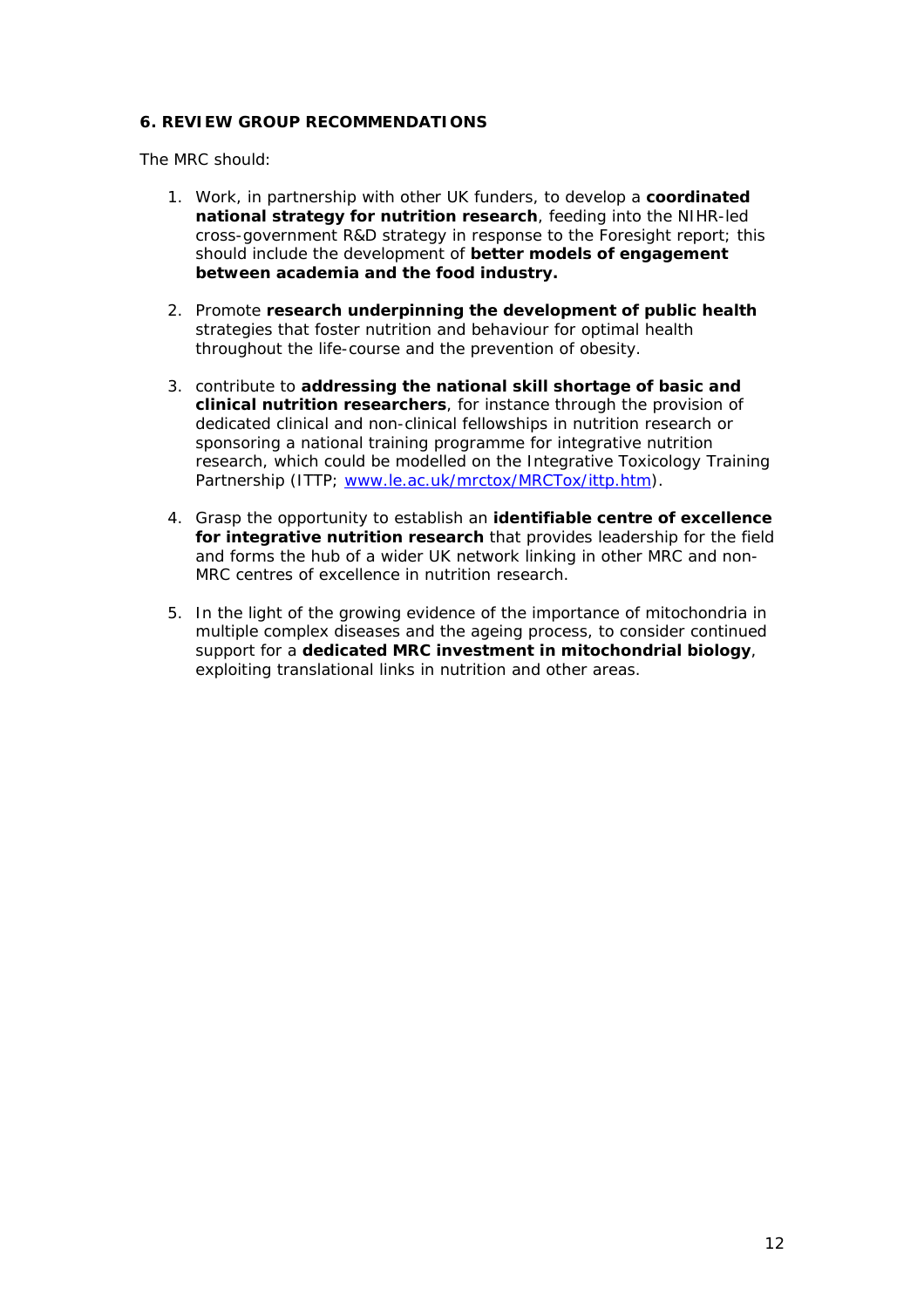# **6. REVIEW GROUP RECOMMENDATIONS**

The MRC should:

- 1. Work, in partnership with other UK funders, to develop a **coordinated national strategy for nutrition research**, feeding into the NIHR-led cross-government R&D strategy in response to the Foresight report; this should include the development of **better models of engagement between academia and the food industry.**
- 2. Promote **research underpinning the development of public health** strategies that foster nutrition and behaviour for optimal health throughout the life-course and the prevention of obesity.
- 3. contribute to **addressing the national skill shortage of basic and clinical nutrition researchers**, for instance through the provision of dedicated clinical and non-clinical fellowships in nutrition research or sponsoring a national training programme for integrative nutrition research, which could be modelled on the Integrative Toxicology Training Partnership (ITTP; [www.le.ac.uk/mrctox/MRCTox/ittp.htm](http://www.le.ac.uk/mrctox/MRCTox/ittp.htm)).
- 4. Grasp the opportunity to establish an **identifiable centre of excellence for integrative nutrition research** that provides leadership for the field and forms the hub of a wider UK network linking in other MRC and non-MRC centres of excellence in nutrition research.
- 5. In the light of the growing evidence of the importance of mitochondria in multiple complex diseases and the ageing process, to consider continued support for a **dedicated MRC investment in mitochondrial biology**, exploiting translational links in nutrition and other areas.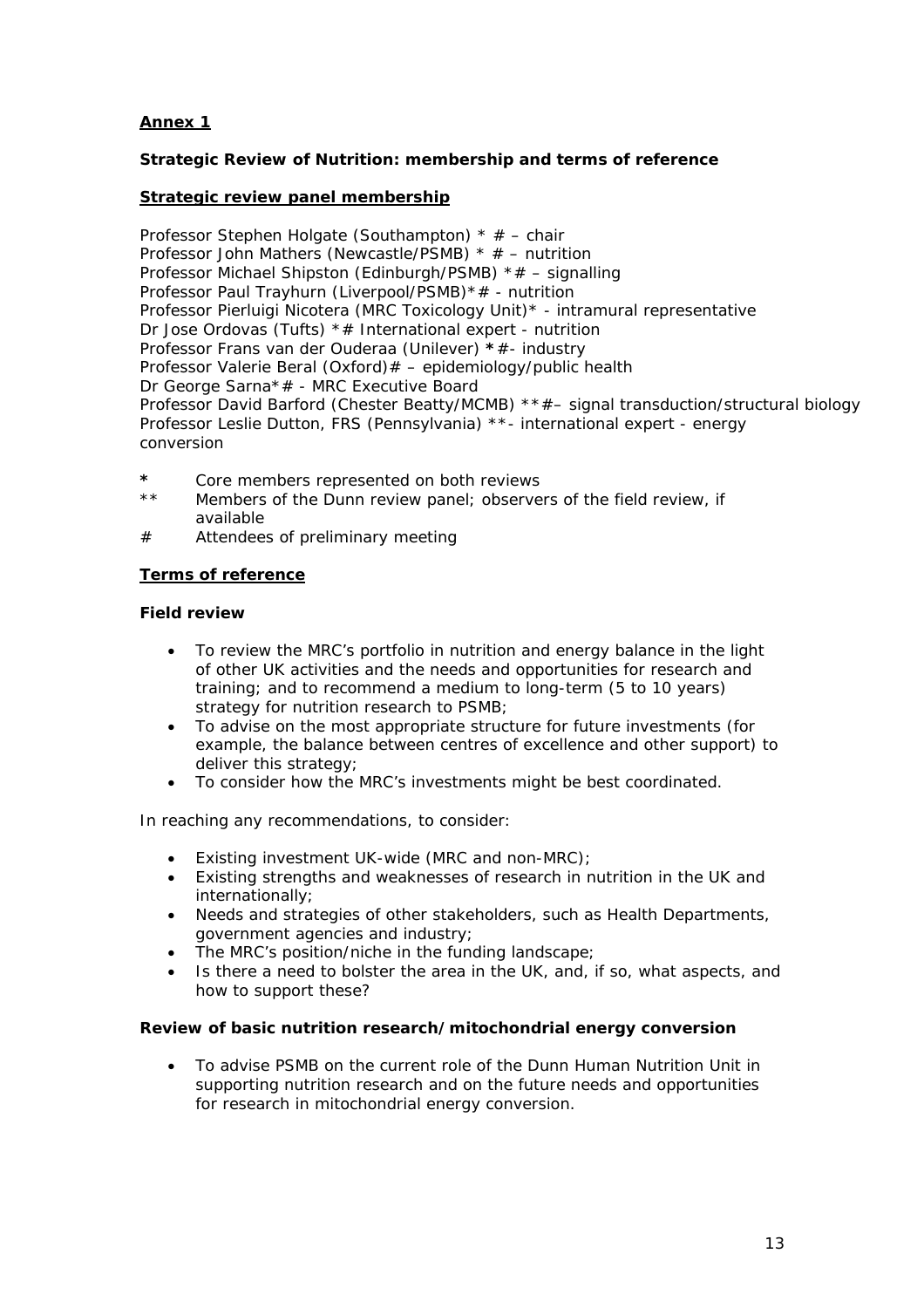# **Annex 1**

# **Strategic Review of Nutrition: membership and terms of reference**

#### **Strategic review panel membership**

Professor Stephen Holgate (Southampton) \* # – chair Professor John Mathers (Newcastle/PSMB) \* # – nutrition Professor Michael Shipston (Edinburgh/PSMB) \*# – signalling Professor Paul Trayhurn (Liverpool/PSMB)\*# - nutrition Professor Pierluigi Nicotera (MRC Toxicology Unit)\* - intramural representative Dr Jose Ordovas (Tufts) \*# International expert - nutrition Professor Frans van der Ouderaa (Unilever) **\***#- industry Professor Valerie Beral (Oxford)# – epidemiology/public health Dr George Sarna\*# - MRC Executive Board Professor David Barford (Chester Beatty/MCMB) \*\*#– signal transduction/structural biology Professor Leslie Dutton, FRS (Pennsylvania) \*\*- international expert - energy conversion

- **\*** Core members represented on both reviews
- \*\* Members of the Dunn review panel; observers of the field review, if available
- # Attendees of preliminary meeting

## **Terms of reference**

#### **Field review**

- To review the MRC's portfolio in nutrition and energy balance in the light of other UK activities and the needs and opportunities for research and training; and to recommend a medium to long-term (5 to 10 years) strategy for nutrition research to PSMB;
- To advise on the most appropriate structure for future investments (for example, the balance between centres of excellence and other support) to deliver this strategy;
- To consider how the MRC's investments might be best coordinated.

In reaching any recommendations, to consider:

- Existing investment UK-wide (MRC and non-MRC);
- Existing strengths and weaknesses of research in nutrition in the UK and internationally;
- Needs and strategies of other stakeholders, such as Health Departments, government agencies and industry;
- The MRC's position/niche in the funding landscape;
- Is there a need to bolster the area in the UK, and, if so, what aspects, and how to support these?

#### **Review of basic nutrition research/mitochondrial energy conversion**

• To advise PSMB on the current role of the Dunn Human Nutrition Unit in supporting nutrition research and on the future needs and opportunities for research in mitochondrial energy conversion.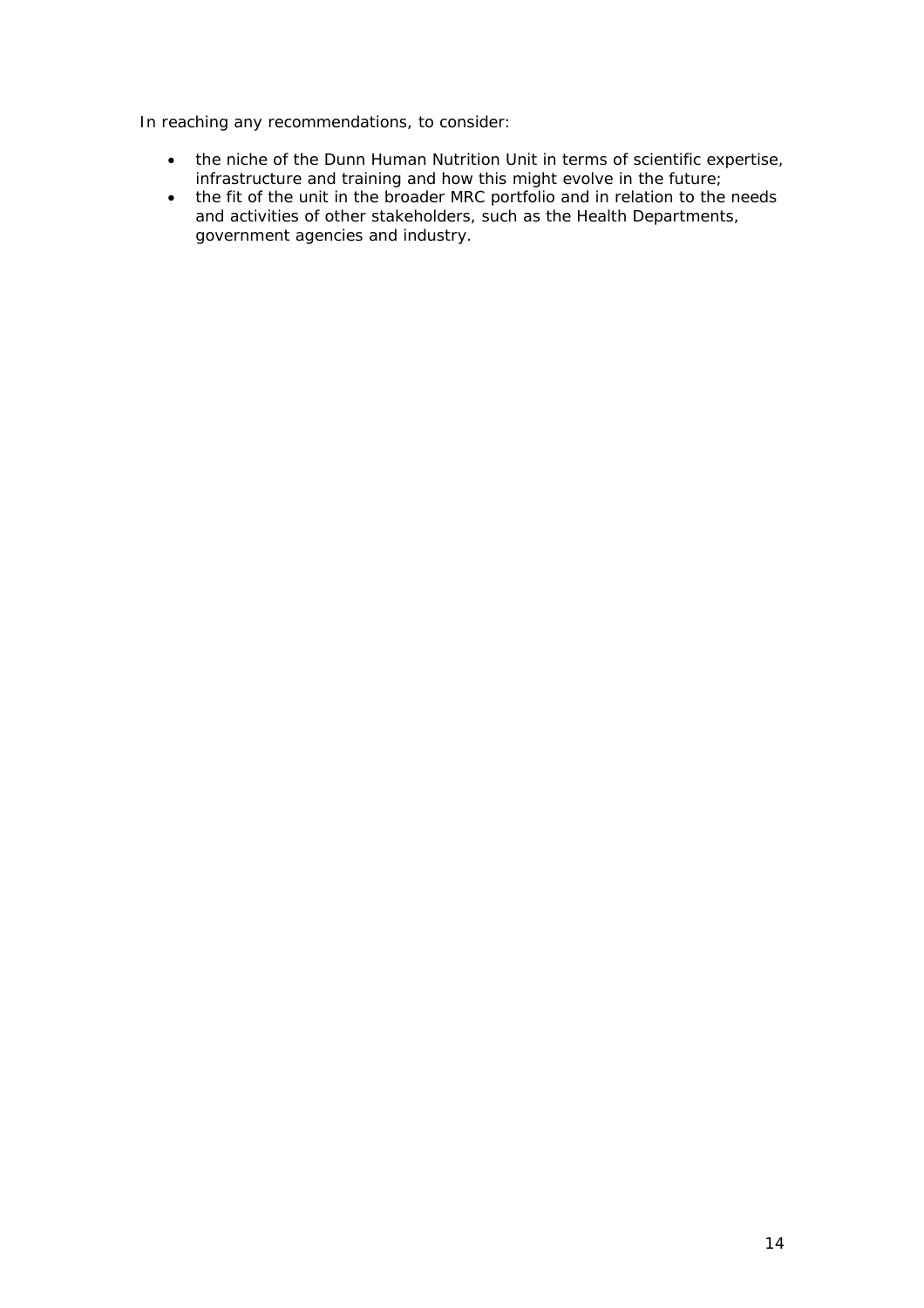In reaching any recommendations, to consider:

- the niche of the Dunn Human Nutrition Unit in terms of scientific expertise, infrastructure and training and how this might evolve in the future;
- the fit of the unit in the broader MRC portfolio and in relation to the needs and activities of other stakeholders, such as the Health Departments, government agencies and industry.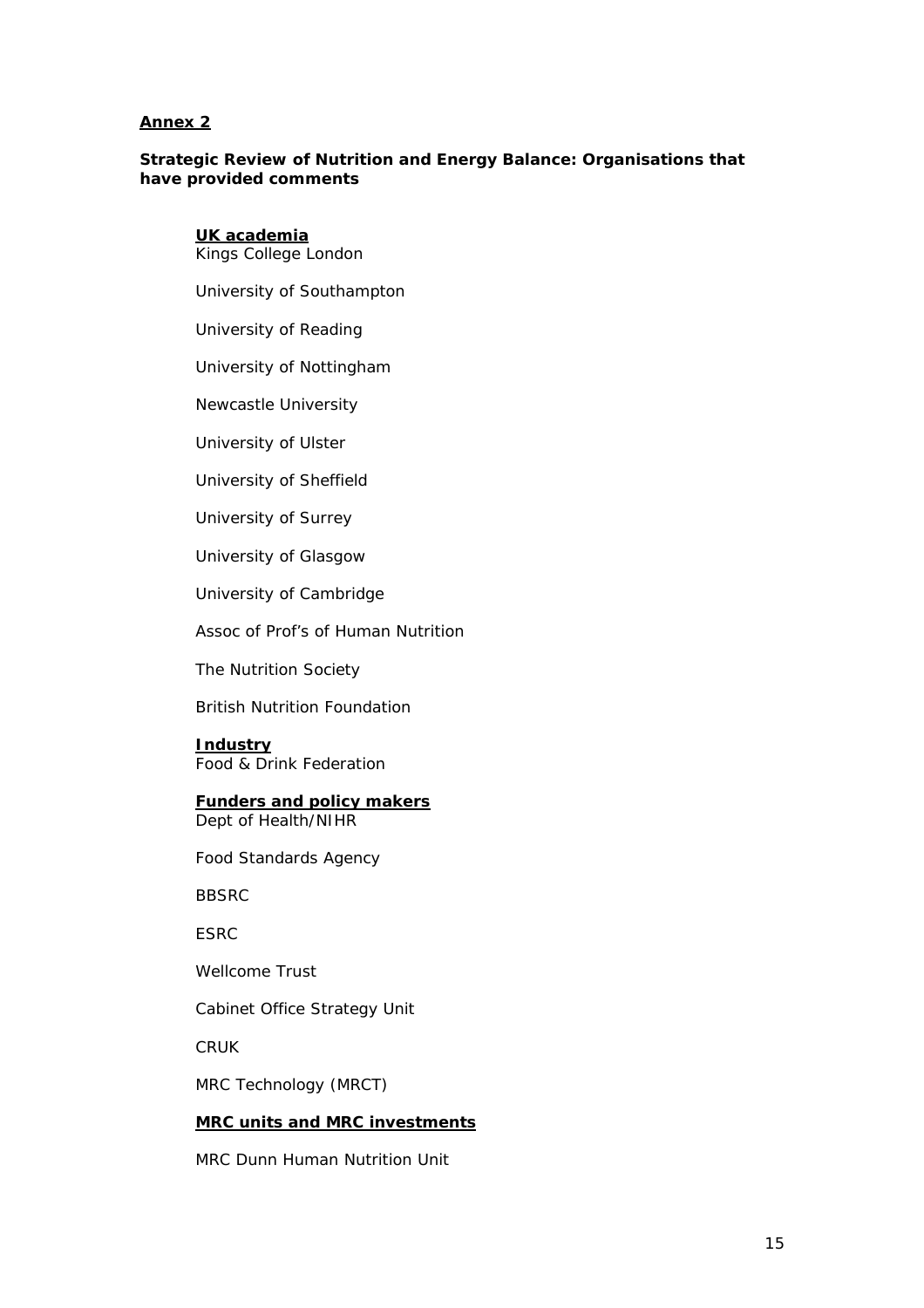#### **Annex 2**

#### **Strategic Review of Nutrition and Energy Balance: Organisations that have provided comments**

#### **UK academia**

Kings College London

University of Southampton

University of Reading

University of Nottingham

Newcastle University

University of Ulster

University of Sheffield

University of Surrey

University of Glasgow

University of Cambridge

Assoc of Prof's of Human Nutrition

The Nutrition Society

British Nutrition Foundation

**Industry**  Food & Drink Federation

#### **Funders and policy makers** Dept of Health/NIHR

Food Standards Agency

BBSRC

**FSRC** 

Wellcome Trust

Cabinet Office Strategy Unit

CRUK

MRC Technology (MRCT)

# **MRC units and MRC investments**

MRC Dunn Human Nutrition Unit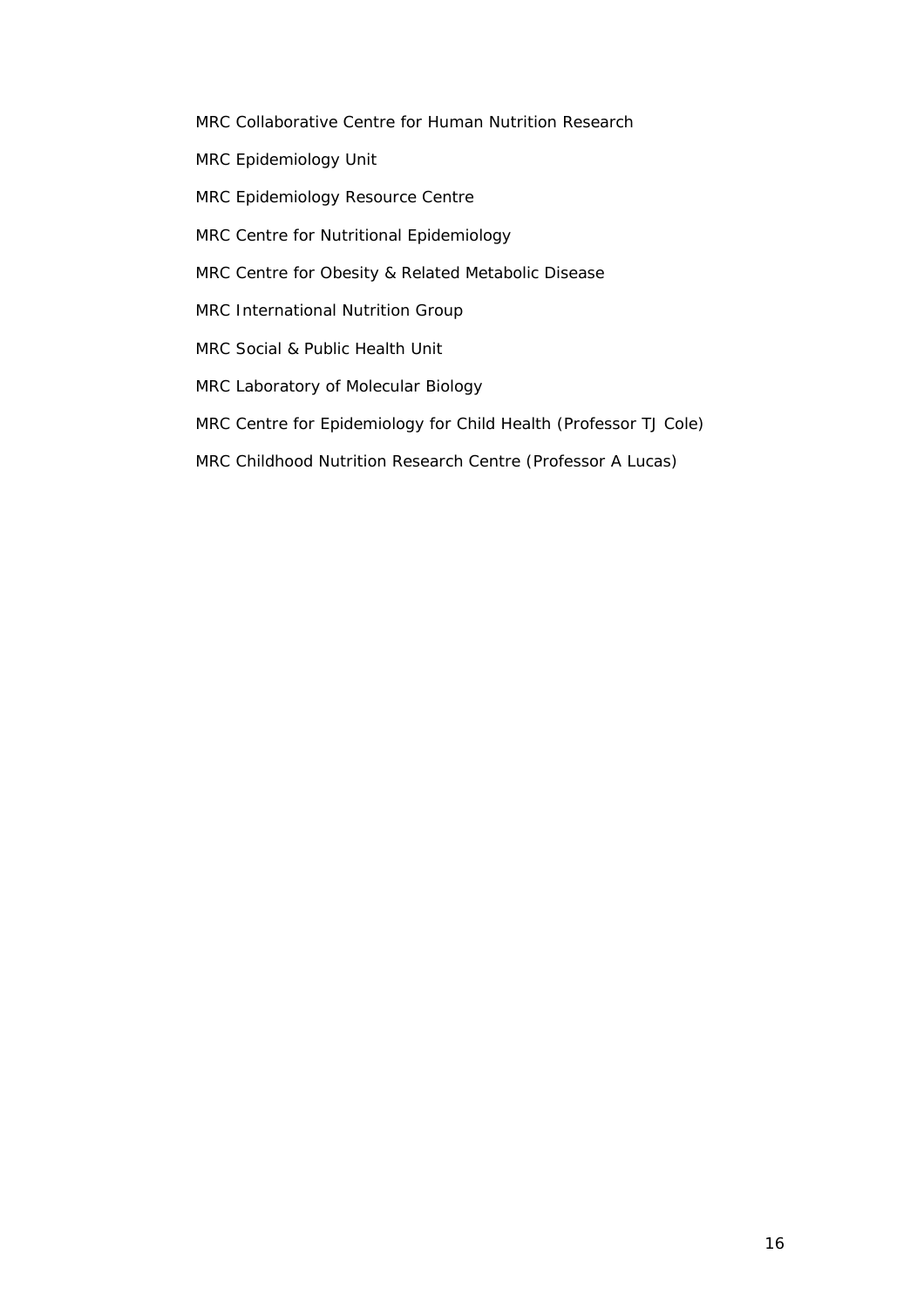- MRC Collaborative Centre for Human Nutrition Research
- MRC Epidemiology Unit
- MRC Epidemiology Resource Centre
- MRC Centre for Nutritional Epidemiology
- MRC Centre for Obesity & Related Metabolic Disease
- MRC International Nutrition Group
- MRC Social & Public Health Unit
- MRC Laboratory of Molecular Biology
- MRC Centre for Epidemiology for Child Health (Professor TJ Cole)
- MRC Childhood Nutrition Research Centre (Professor A Lucas)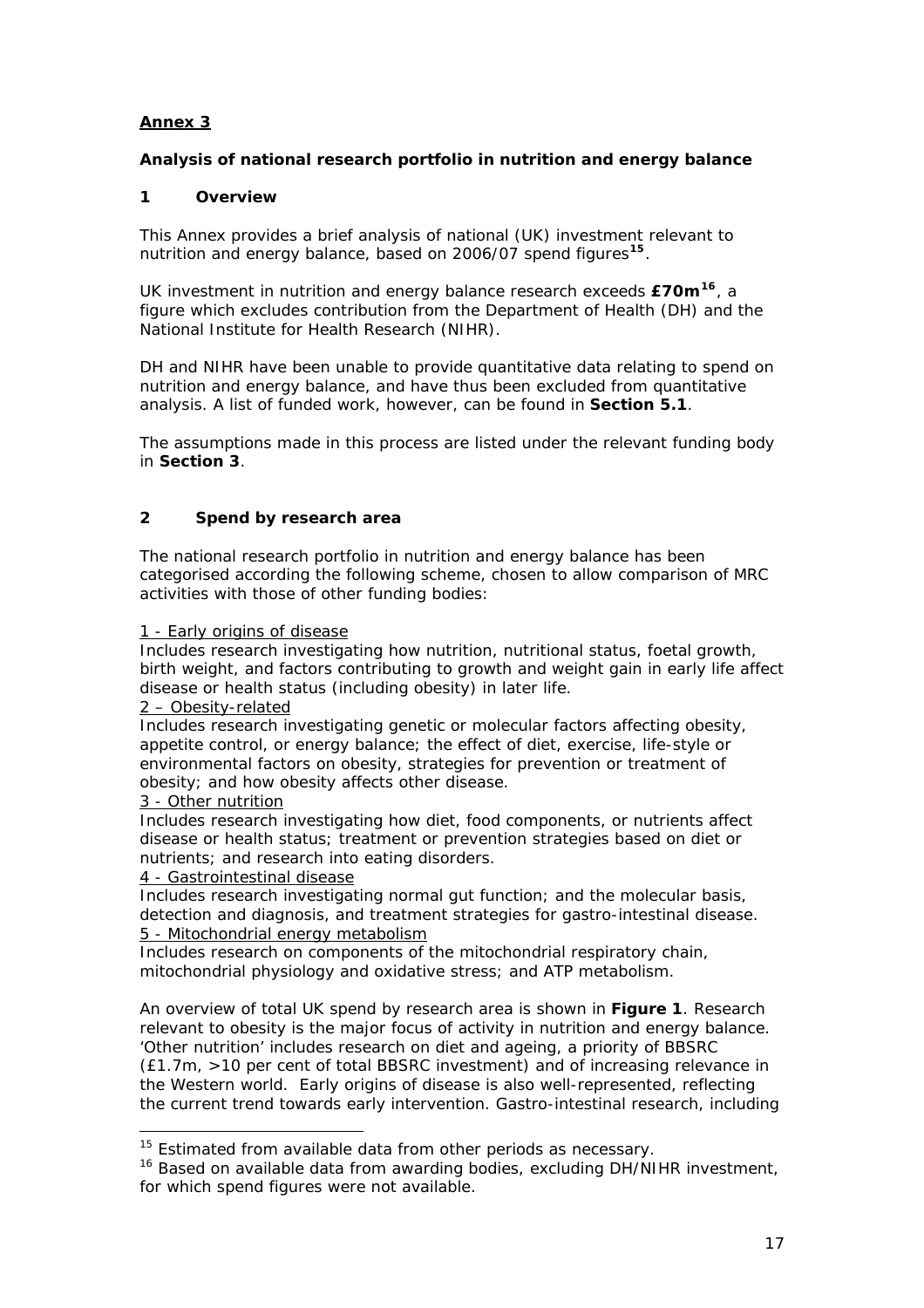# **Annex 3**

# **Analysis of national research portfolio in nutrition and energy balance**

# **1 Overview**

This Annex provides a brief analysis of national (UK) investment relevant to nutrition and energy balance, based on 2006/07 spend figures**[15](#page-17-0)**.

UK investment in nutrition and energy balance research exceeds **£70m[16](#page-17-1)**, a figure which excludes contribution from the Department of Health (DH) and the National Institute for Health Research (NIHR).

DH and NIHR have been unable to provide quantitative data relating to spend on nutrition and energy balance, and have thus been excluded from quantitative analysis. A list of funded work, however, can be found in **Section 5.1**.

The assumptions made in this process are listed under the relevant funding body in **Section 3**.

# **2 Spend by research area**

The national research portfolio in nutrition and energy balance has been categorised according the following scheme, chosen to allow comparison of MRC activities with those of other funding bodies:

#### 1 - Early origins of disease

Includes research investigating how nutrition, nutritional status, foetal growth, birth weight, and factors contributing to growth and weight gain in early life affect disease or health status (including obesity) in later life.

#### 2 – Obesity-related

Includes research investigating genetic or molecular factors affecting obesity, appetite control, or energy balance; the effect of diet, exercise, life-style or environmental factors on obesity, strategies for prevention or treatment of obesity; and how obesity affects other disease.

#### 3 - Other nutrition

1

Includes research investigating how diet, food components, or nutrients affect disease or health status; treatment or prevention strategies based on diet or nutrients; and research into eating disorders.

#### 4 - Gastrointestinal disease

Includes research investigating normal gut function; and the molecular basis, detection and diagnosis, and treatment strategies for gastro-intestinal disease. 5 - Mitochondrial energy metabolism

Includes research on components of the mitochondrial respiratory chain, mitochondrial physiology and oxidative stress; and ATP metabolism.

An overview of total UK spend by research area is shown in **Figure 1**. Research relevant to obesity is the major focus of activity in nutrition and energy balance. 'Other nutrition' includes research on diet and ageing, a priority of BBSRC (£1.7m, >10 per cent of total BBSRC investment) and of increasing relevance in the Western world. Early origins of disease is also well-represented, reflecting the current trend towards early intervention. Gastro-intestinal research, including

 $15$  Estimated from available data from other periods as necessary.

<span id="page-17-1"></span><span id="page-17-0"></span><sup>&</sup>lt;sup>16</sup> Based on available data from awarding bodies, excluding DH/NIHR investment, for which spend figures were not available.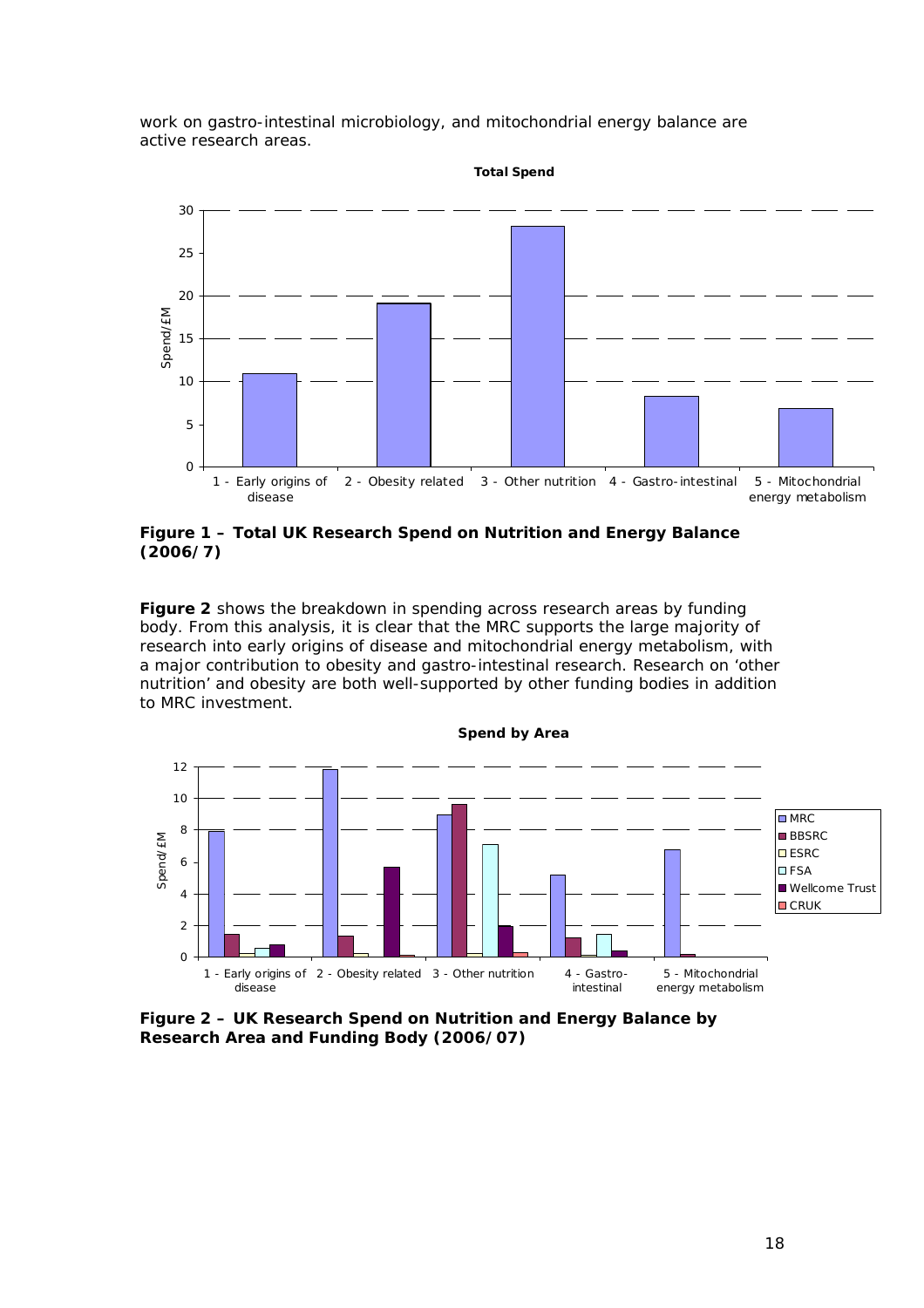work on gastro-intestinal microbiology, and mitochondrial energy balance are active research areas.



#### **Figure 1 – Total UK Research Spend on Nutrition and Energy Balance (2006/7)**

**Figure 2** shows the breakdown in spending across research areas by funding body. From this analysis, it is clear that the MRC supports the large majority of research into early origins of disease and mitochondrial energy metabolism, with a major contribution to obesity and gastro-intestinal research. Research on 'other nutrition' and obesity are both well-supported by other funding bodies in addition to MRC investment.



**Figure 2 – UK Research Spend on Nutrition and Energy Balance by Research Area and Funding Body (2006/07)**

18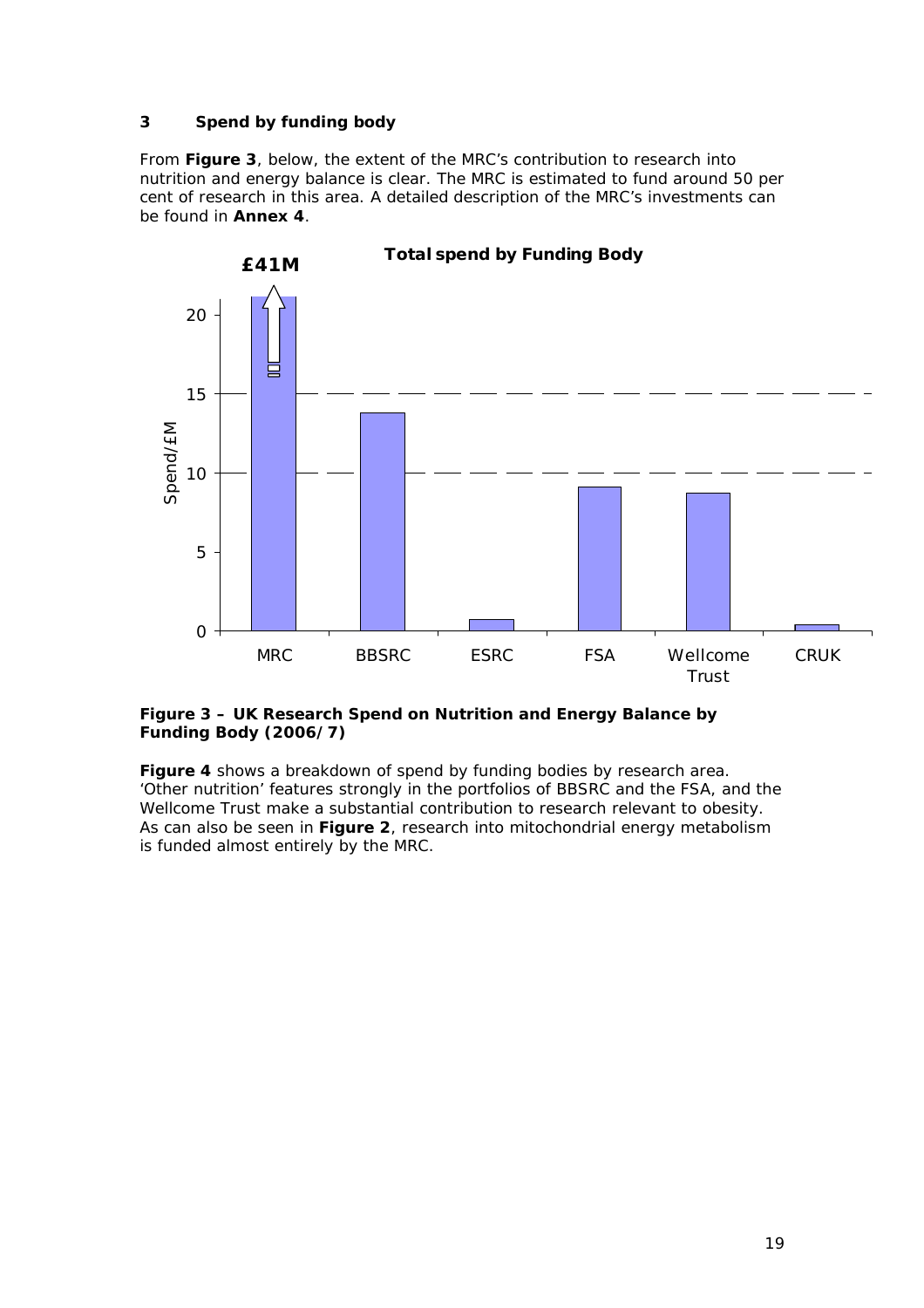# **3 Spend by funding body**

From **Figure 3**, below, the extent of the MRC's contribution to research into nutrition and energy balance is clear. The MRC is estimated to fund around 50 per cent of research in this area. A detailed description of the MRC's investments can be found in **Annex 4**.



# **Total spend by Funding Body**

#### **Figure 3 – UK Research Spend on Nutrition and Energy Balance by Funding Body (2006/7)**

**Figure 4** shows a breakdown of spend by funding bodies by research area. 'Other nutrition' features strongly in the portfolios of BBSRC and the FSA, and the Wellcome Trust make a substantial contribution to research relevant to obesity. As can also be seen in **Figure 2**, research into mitochondrial energy metabolism is funded almost entirely by the MRC.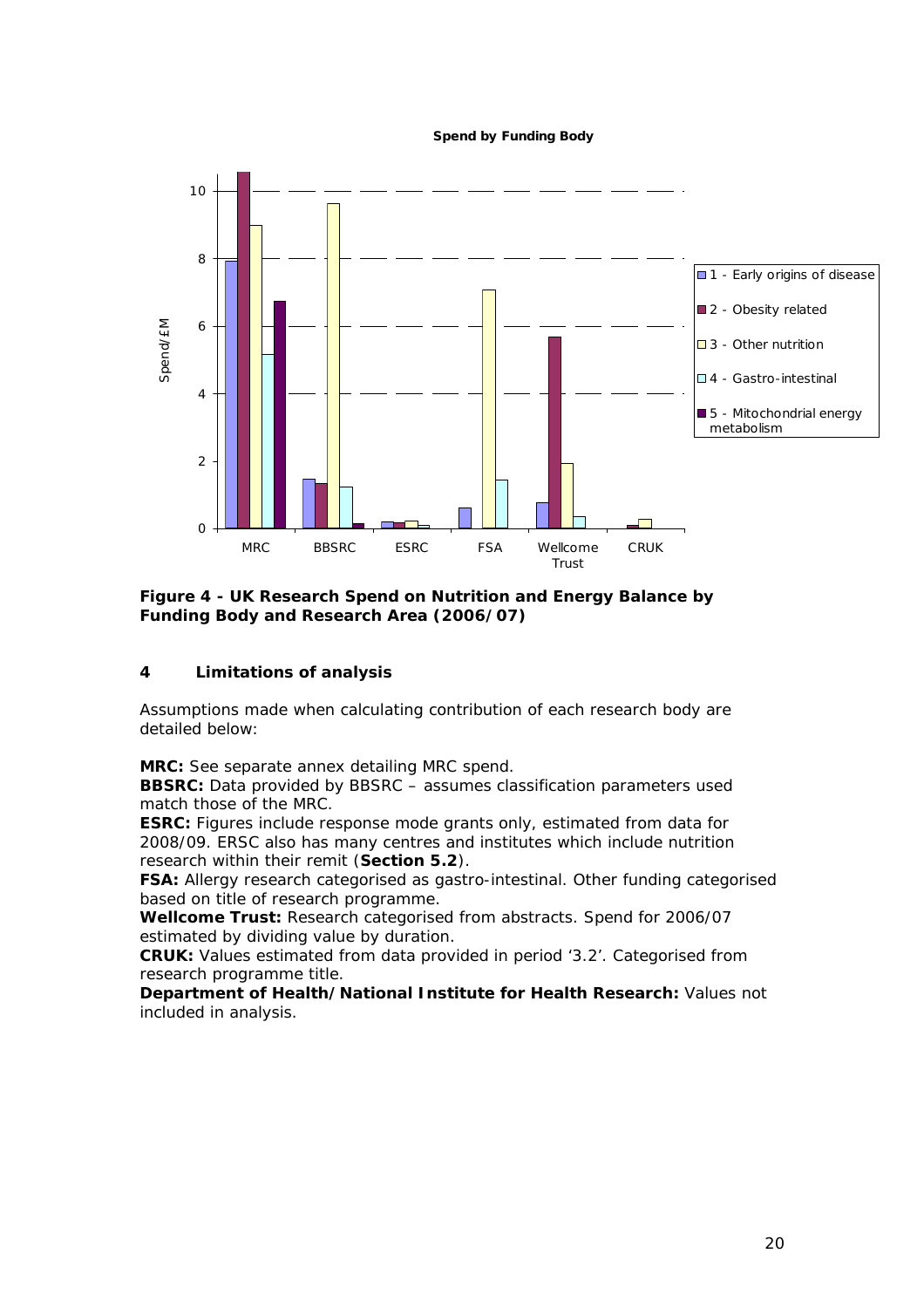**Spend by Funding Body**



**Figure 4 - UK Research Spend on Nutrition and Energy Balance by Funding Body and Research Area (2006/07)** 

# **4 Limitations of analysis**

Assumptions made when calculating contribution of each research body are detailed below:

**MRC:** See separate annex detailing MRC spend.

**BBSRC:** Data provided by BBSRC – assumes classification parameters used match those of the MRC.

**ESRC:** Figures include response mode grants only, estimated from data for 2008/09. ERSC also has many centres and institutes which include nutrition research within their remit (**Section 5.2**).

**FSA:** Allergy research categorised as gastro-intestinal. Other funding categorised based on title of research programme.

**Wellcome Trust:** Research categorised from abstracts. Spend for 2006/07 estimated by dividing value by duration.

**CRUK:** Values estimated from data provided in period '3.2'. Categorised from research programme title.

**Department of Health/National Institute for Health Research:** Values not included in analysis.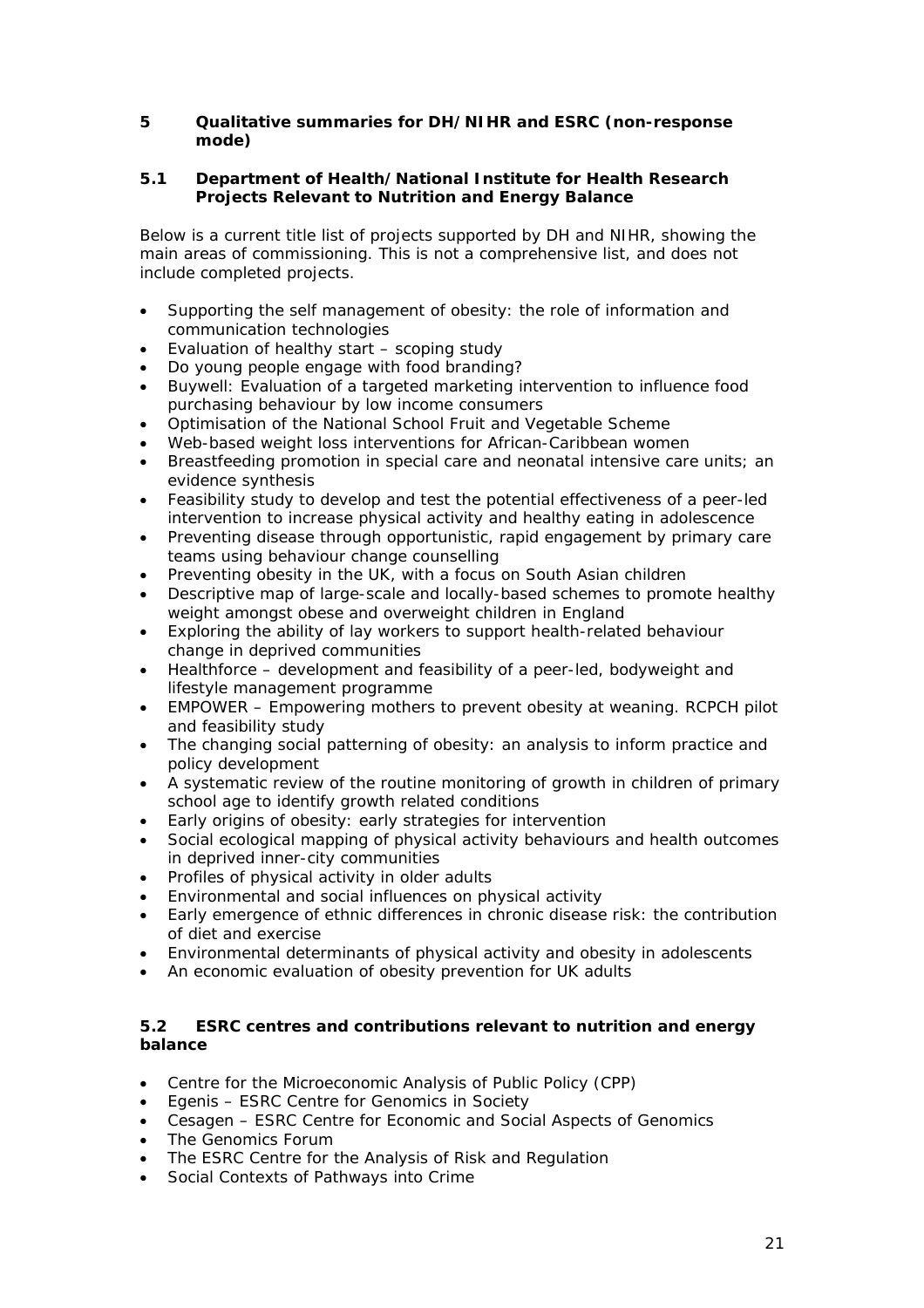## **5 Qualitative summaries for DH/NIHR and ESRC (non-response mode)**

## **5.1 Department of Health/National Institute for Health Research Projects Relevant to Nutrition and Energy Balance**

Below is a current title list of projects supported by DH and NIHR, showing the main areas of commissioning. This is not a comprehensive list, and does not include completed projects.

- Supporting the self management of obesity: the role of information and communication technologies
- Evaluation of healthy start scoping study
- Do young people engage with food branding?
- Buywell: Evaluation of a targeted marketing intervention to influence food purchasing behaviour by low income consumers
- Optimisation of the National School Fruit and Vegetable Scheme
- Web-based weight loss interventions for African-Caribbean women
- Breastfeeding promotion in special care and neonatal intensive care units; an evidence synthesis
- Feasibility study to develop and test the potential effectiveness of a peer-led intervention to increase physical activity and healthy eating in adolescence
- Preventing disease through opportunistic, rapid engagement by primary care teams using behaviour change counselling
- Preventing obesity in the UK, with a focus on South Asian children
- Descriptive map of large-scale and locally-based schemes to promote healthy weight amongst obese and overweight children in England
- Exploring the ability of lay workers to support health-related behaviour change in deprived communities
- Healthforce development and feasibility of a peer-led, bodyweight and lifestyle management programme
- EMPOWER Empowering mothers to prevent obesity at weaning. RCPCH pilot and feasibility study
- The changing social patterning of obesity: an analysis to inform practice and policy development
- A systematic review of the routine monitoring of growth in children of primary school age to identify growth related conditions
- Early origins of obesity: early strategies for intervention
- Social ecological mapping of physical activity behaviours and health outcomes in deprived inner-city communities
- Profiles of physical activity in older adults
- Environmental and social influences on physical activity
- Early emergence of ethnic differences in chronic disease risk: the contribution of diet and exercise
- Environmental determinants of physical activity and obesity in adolescents
- An economic evaluation of obesity prevention for UK adults

## **5.2 ESRC centres and contributions relevant to nutrition and energy balance**

- Centre for the Microeconomic Analysis of Public Policy (CPP)
- Egenis ESRC Centre for Genomics in Society
- Cesagen ESRC Centre for Economic and Social Aspects of Genomics
- The Genomics Forum
- The ESRC Centre for the Analysis of Risk and Regulation
- Social Contexts of Pathways into Crime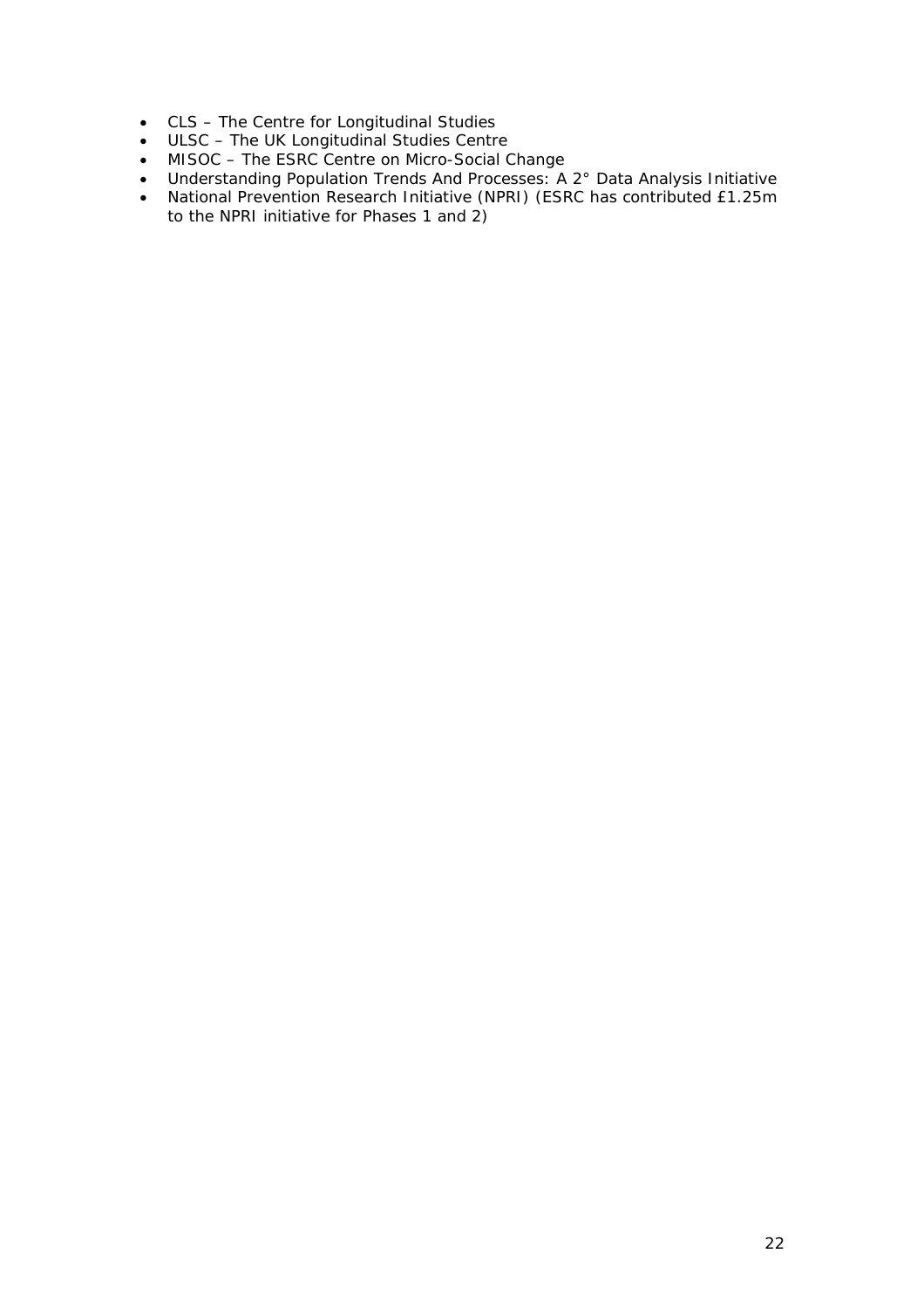- CLS The Centre for Longitudinal Studies
- ULSC The UK Longitudinal Studies Centre
- MISOC The ESRC Centre on Micro-Social Change
- Understanding Population Trends And Processes: A 2° Data Analysis Initiative
- National Prevention Research Initiative (NPRI) (ESRC has contributed £1.25m to the NPRI initiative for Phases 1 and 2)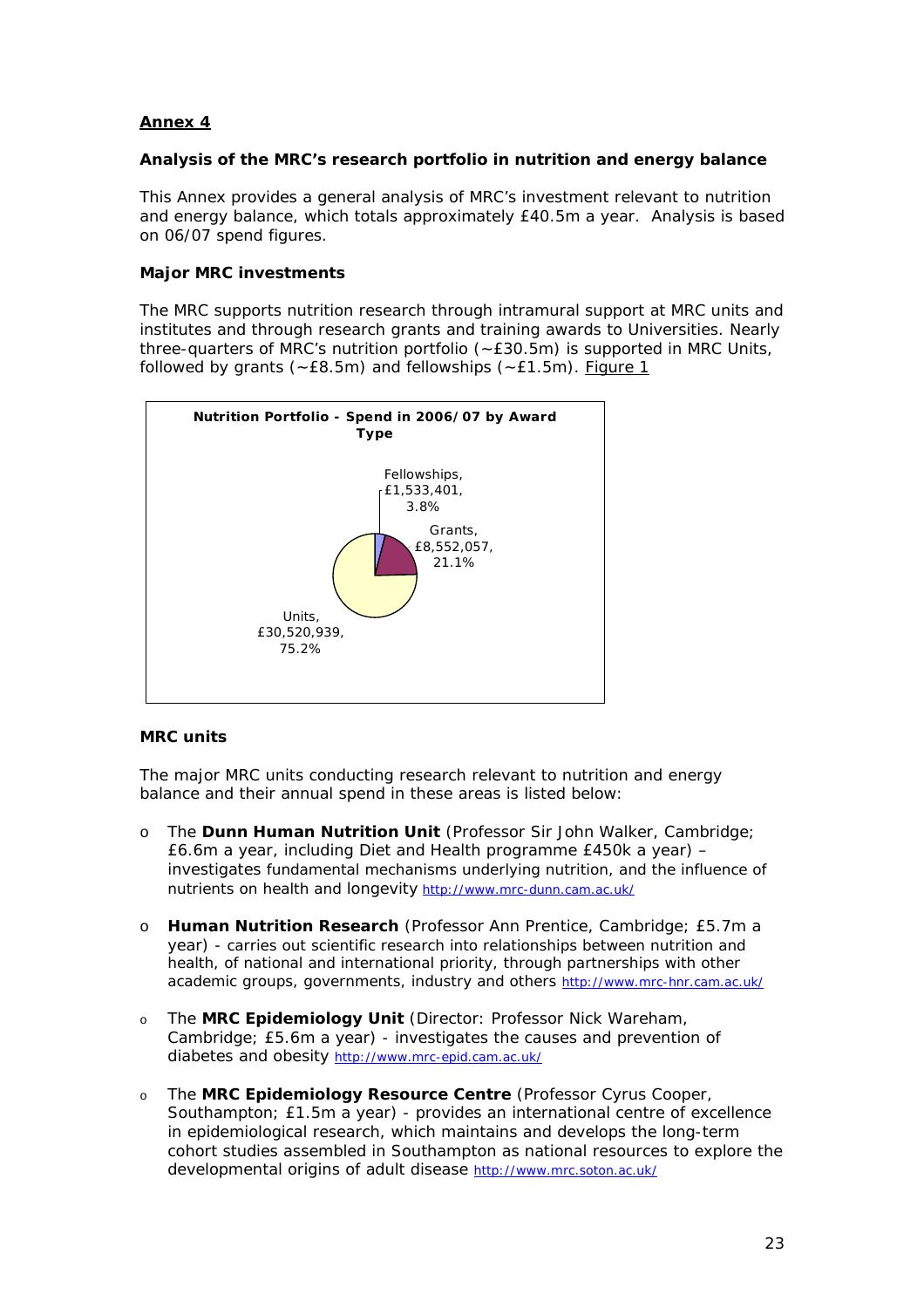# **Annex 4**

#### **Analysis of the MRC's research portfolio in nutrition and energy balance**

This Annex provides a general analysis of MRC's investment relevant to nutrition and energy balance, which totals approximately £40.5m a year. Analysis is based on 06/07 spend figures.

#### **Major MRC investments**

The MRC supports nutrition research through intramural support at MRC units and institutes and through research grants and training awards to Universities. Nearly three-quarters of MRC's nutrition portfolio (~£30.5m) is supported in MRC Units, followed by grants ( $\text{-}E8.5\text{m}$ ) and fellowships ( $\text{-}E1.5\text{m}$ ). Figure 1



#### *MRC units*

The major MRC units conducting research relevant to nutrition and energy balance and their annual spend in these areas is listed below:

- o The **Dunn Human Nutrition Unit** (Professor Sir John Walker, Cambridge; £6.6m a year, including Diet and Health programme £450k a year) – investigates fundamental mechanisms underlying nutrition, and the influence of nutrients on health and longevity <http://www.mrc-dunn.cam.ac.uk/>
- o **Human Nutrition Research** (Professor Ann Prentice, Cambridge; £5.7m a year) - carries out scientific research into relationships between nutrition and health, of national and international priority, through partnerships with other academic groups, governments, industry and others <http://www.mrc-hnr.cam.ac.uk/>
- o The **MRC Epidemiology Unit** (Director: Professor Nick Wareham, Cambridge; £5.6m a year) - investigates the causes and prevention of diabetes and obesity<http://www.mrc-epid.cam.ac.uk/>
- o The **MRC Epidemiology Resource Centre** (Professor Cyrus Cooper, Southampton; £1.5m a year) - provides an international centre of excellence in epidemiological research, which maintains and develops the long-term cohort studies assembled in Southampton as national resources to explore the developmental origins of adult disease<http://www.mrc.soton.ac.uk/>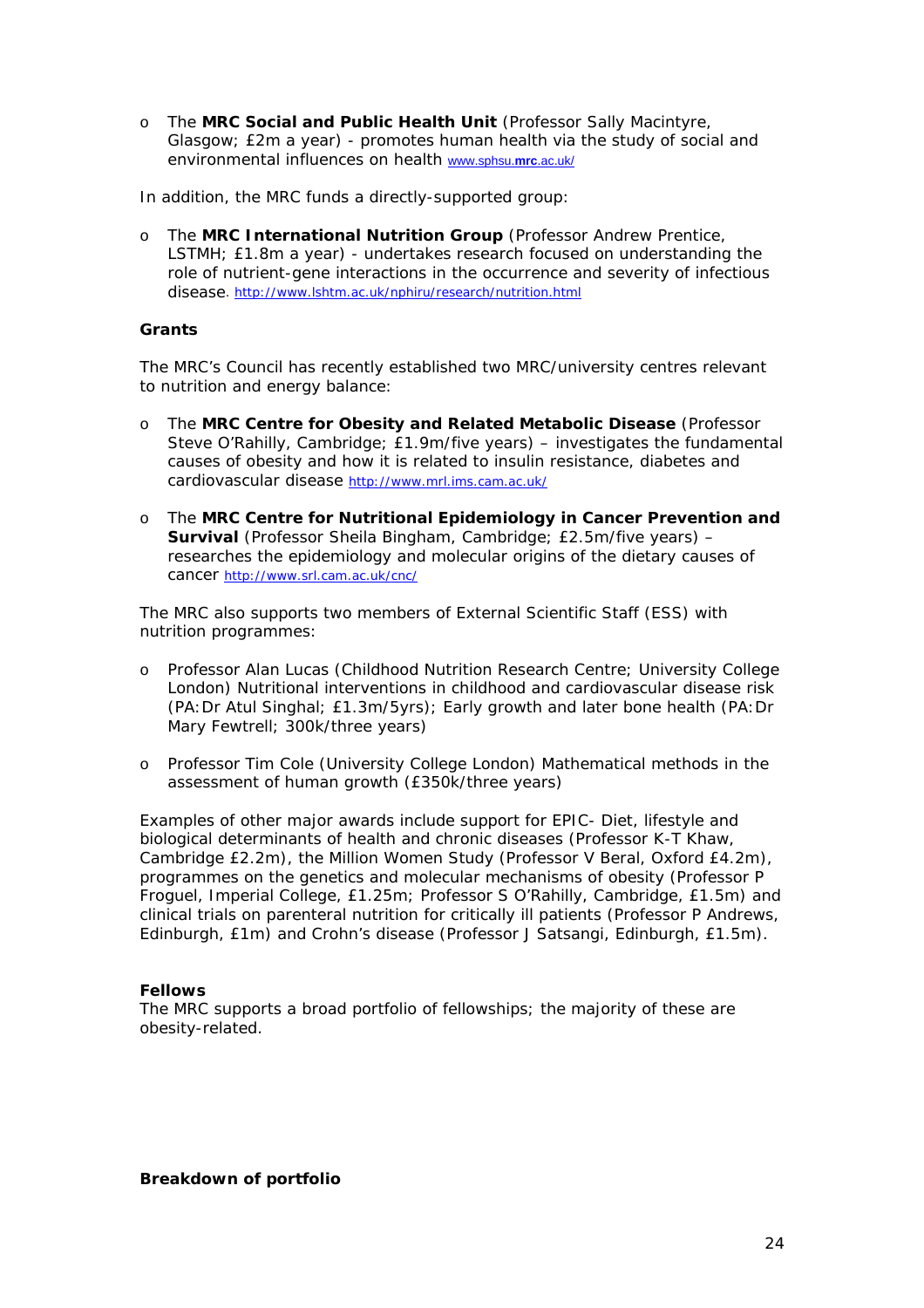o The **MRC Social and Public Health Unit** (Professor Sally Macintyre, Glasgow; £2m a year) - promotes human health via the study of social and environmental influences on health [www.sphsu.](http://www.sphsu.mrc.ac.uk/)**mrc**.ac.uk/

In addition, the MRC funds a directly-supported group:

o The **MRC International Nutrition Group** (Professor Andrew Prentice, LSTMH; £1.8m a year) - undertakes research focused on understanding the role of nutrient-gene interactions in the occurrence and severity of infectious disease. <http://www.lshtm.ac.uk/nphiru/research/nutrition.html>

#### *Grants*

The MRC's Council has recently established two MRC/university centres relevant to nutrition and energy balance:

- o The **MRC Centre for Obesity and Related Metabolic Disease** (Professor Steve O'Rahilly, Cambridge; £1.9m/five years) – investigates the fundamental causes of obesity and how it is related to insulin resistance, diabetes and cardiovascular disease <http://www.mrl.ims.cam.ac.uk/>
- o The **MRC Centre for Nutritional Epidemiology in Cancer Prevention and Survival** (Professor Sheila Bingham, Cambridge; £2.5m/five years) – researches the epidemiology and molecular origins of the dietary causes of cancer<http://www.srl.cam.ac.uk/cnc/>

The MRC also supports two members of External Scientific Staff (ESS) with nutrition programmes:

- o Professor Alan Lucas (Childhood Nutrition Research Centre; University College London) Nutritional interventions in childhood and cardiovascular disease risk (PA:Dr Atul Singhal; £1.3m/5yrs); Early growth and later bone health (PA:Dr Mary Fewtrell; 300k/three years)
- o Professor Tim Cole (University College London) Mathematical methods in the assessment of human growth (£350k/three years)

Examples of other major awards include support for EPIC- Diet, lifestyle and biological determinants of health and chronic diseases (Professor K-T Khaw, Cambridge £2.2m), the Million Women Study (Professor V Beral, Oxford £4.2m), programmes on the genetics and molecular mechanisms of obesity (Professor P Froguel, Imperial College, £1.25m; Professor S O'Rahilly, Cambridge, £1.5m) and clinical trials on parenteral nutrition for critically ill patients (Professor P Andrews, Edinburgh, £1m) and Crohn's disease (Professor J Satsangi, Edinburgh, £1.5m).

#### *Fellows*

The MRC supports a broad portfolio of fellowships; the majority of these are obesity-related.

**Breakdown of portfolio**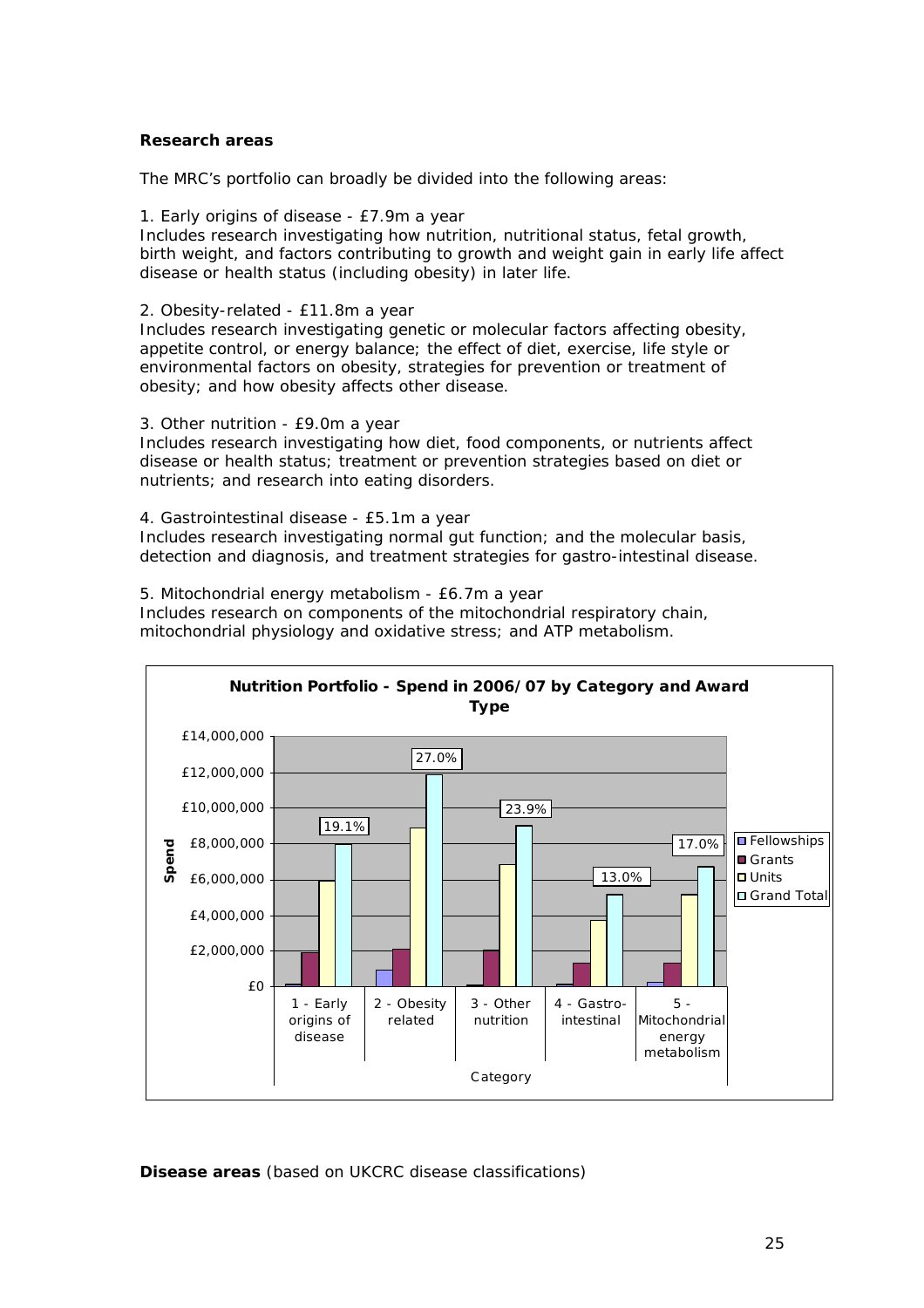#### *Research areas*

The MRC's portfolio can broadly be divided into the following areas:

1. Early origins of disease - £7.9m a year

Includes research investigating how nutrition, nutritional status, fetal growth, birth weight, and factors contributing to growth and weight gain in early life affect disease or health status (including obesity) in later life.

2. Obesity-related - £11.8m a year

Includes research investigating genetic or molecular factors affecting obesity, appetite control, or energy balance; the effect of diet, exercise, life style or environmental factors on obesity, strategies for prevention or treatment of obesity; and how obesity affects other disease.

3. Other nutrition - £9.0m a year

Includes research investigating how diet, food components, or nutrients affect disease or health status; treatment or prevention strategies based on diet or nutrients; and research into eating disorders.

4. Gastrointestinal disease - £5.1m a year

Includes research investigating normal gut function; and the molecular basis, detection and diagnosis, and treatment strategies for gastro-intestinal disease.

5. Mitochondrial energy metabolism - £6.7m a year

Includes research on components of the mitochondrial respiratory chain, mitochondrial physiology and oxidative stress; and ATP metabolism.



*Disease areas (based on UKCRC disease classifications)*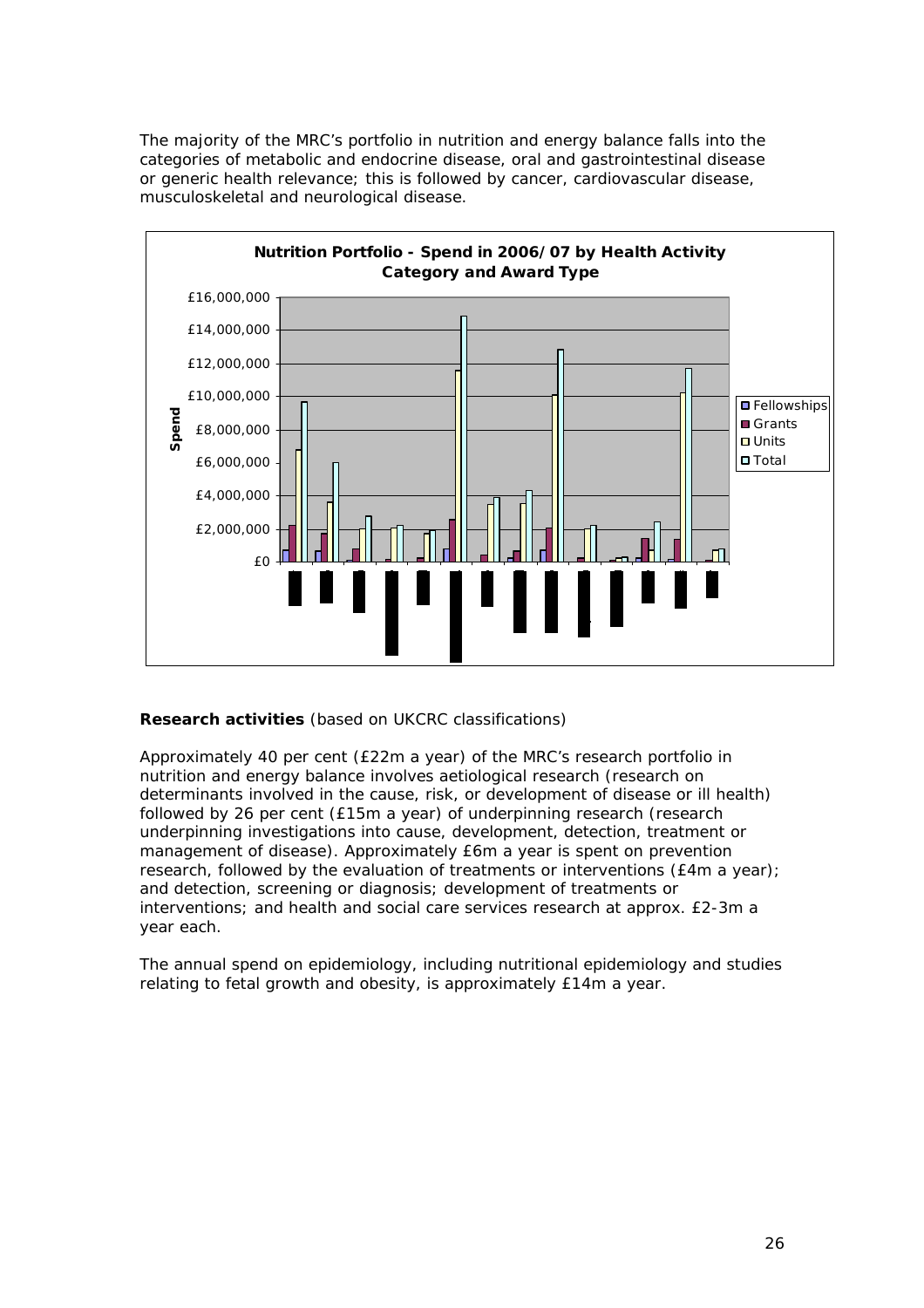The majority of the MRC's portfolio in nutrition and energy balance falls into the categories of metabolic and endocrine disease, oral and gastrointestinal disease or generic health relevance; this is followed by cancer, cardiovascular disease, musculoskeletal and neurological disease.



# *Research activities (based on UKCRC classifications)*

Approximately 40 per cent (£22m a year) of the MRC's research portfolio in nutrition and energy balance involves aetiological research (research on determinants involved in the cause, risk, or development of disease or ill health) followed by 26 per cent (£15m a year) of underpinning research (research underpinning investigations into cause, development, detection, treatment or management of disease). Approximately £6m a year is spent on prevention research, followed by the evaluation of treatments or interventions (£4m a year); and detection, screening or diagnosis; development of treatments or interventions; and health and social care services research at approx. £2-3m a year each.

The annual spend on epidemiology, including nutritional epidemiology and studies relating to fetal growth and obesity, is approximately £14m a year.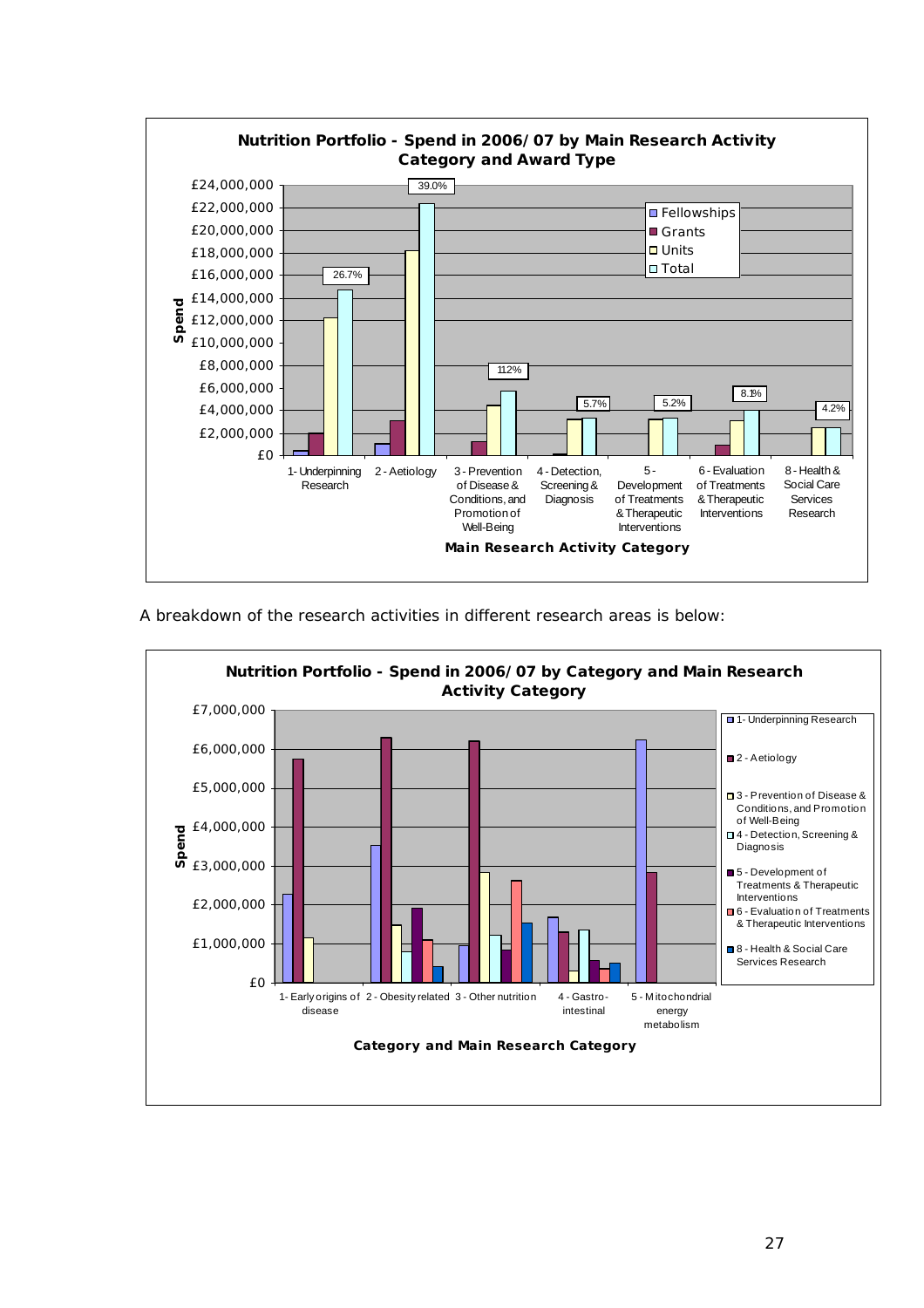

A breakdown of the research activities in different research areas is below: